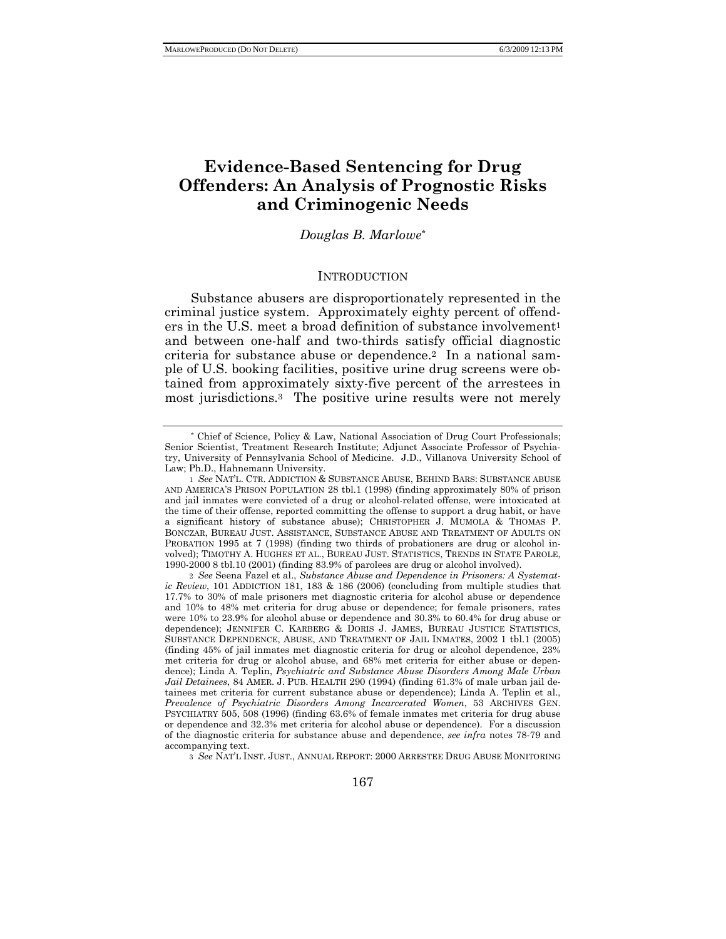# **Evidence-Based Sentencing for Drug Offenders: An Analysis of Prognostic Risks and Criminogenic Needs**

## *Douglas B. Marlowe*\*

#### **INTRODUCTION**

Substance abusers are disproportionately represented in the criminal justice system. Approximately eighty percent of offenders in the U.S. meet a broad definition of substance involvement<sup>1</sup> and between one-half and two-thirds satisfy official diagnostic criteria for substance abuse or dependence.2 In a national sample of U.S. booking facilities, positive urine drug screens were obtained from approximately sixty-five percent of the arrestees in most jurisdictions.3 The positive urine results were not merely

2 *See* Seena Fazel et al., *Substance Abuse and Dependence in Prisoners: A Systematic Review*, 101 ADDICTION 181, 183 & 186 (2006) (concluding from multiple studies that 17.7% to 30% of male prisoners met diagnostic criteria for alcohol abuse or dependence and 10% to 48% met criteria for drug abuse or dependence; for female prisoners, rates were 10% to 23.9% for alcohol abuse or dependence and 30.3% to 60.4% for drug abuse or dependence); JENNIFER C. KARBERG & DORIS J. JAMES, BUREAU JUSTICE STATISTICS, SUBSTANCE DEPENDENCE, ABUSE, AND TREATMENT OF JAIL INMATES, 2002 1 tbl.1 (2005) (finding 45% of jail inmates met diagnostic criteria for drug or alcohol dependence, 23% met criteria for drug or alcohol abuse, and 68% met criteria for either abuse or dependence); Linda A. Teplin, *Psychiatric and Substance Abuse Disorders Among Male Urban Jail Detainees*, 84 AMER. J. PUB. HEALTH 290 (1994) (finding 61.3% of male urban jail detainees met criteria for current substance abuse or dependence); Linda A. Teplin et al., *Prevalence of Psychiatric Disorders Among Incarcerated Women*, 53 ARCHIVES GEN. PSYCHIATRY 505, 508 (1996) (finding 63.6% of female inmates met criteria for drug abuse or dependence and 32.3% met criteria for alcohol abuse or dependence). For a discussion of the diagnostic criteria for substance abuse and dependence, *see infra* notes 78-79 and accompanying text.

3 *See* NAT'L INST. JUST., ANNUAL REPORT: 2000 ARRESTEE DRUG ABUSE MONITORING

<sup>\*</sup> Chief of Science, Policy & Law, National Association of Drug Court Professionals; Senior Scientist, Treatment Research Institute; Adjunct Associate Professor of Psychiatry, University of Pennsylvania School of Medicine. J.D., Villanova University School of Law; Ph.D., Hahnemann University.

<sup>1</sup> *See* NAT'L. CTR. ADDICTION & SUBSTANCE ABUSE, BEHIND BARS: SUBSTANCE ABUSE AND AMERICA'S PRISON POPULATION 28 tbl.1 (1998) (finding approximately 80% of prison and jail inmates were convicted of a drug or alcohol-related offense, were intoxicated at the time of their offense, reported committing the offense to support a drug habit, or have a significant history of substance abuse); CHRISTOPHER J. MUMOLA & THOMAS P. BONCZAR, BUREAU JUST. ASSISTANCE, SUBSTANCE ABUSE AND TREATMENT OF ADULTS ON PROBATION 1995 at 7 (1998) (finding two thirds of probationers are drug or alcohol involved); TIMOTHY A. HUGHES ET AL., BUREAU JUST. STATISTICS, TRENDS IN STATE PAROLE, 1990-2000 8 tbl.10 (2001) (finding 83.9% of parolees are drug or alcohol involved).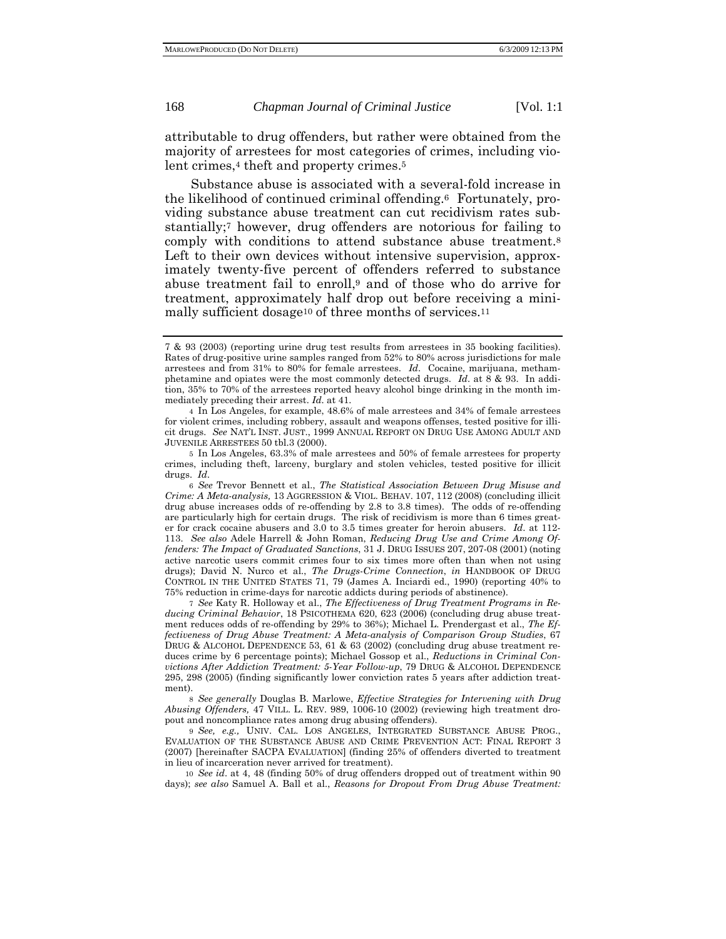attributable to drug offenders, but rather were obtained from the majority of arrestees for most categories of crimes, including violent crimes,<sup>4</sup> theft and property crimes.<sup>5</sup>

Substance abuse is associated with a several-fold increase in the likelihood of continued criminal offending.6 Fortunately, providing substance abuse treatment can cut recidivism rates substantially;7 however, drug offenders are notorious for failing to comply with conditions to attend substance abuse treatment.8 Left to their own devices without intensive supervision, approximately twenty-five percent of offenders referred to substance abuse treatment fail to enroll,9 and of those who do arrive for treatment, approximately half drop out before receiving a minimally sufficient dosage<sup>10</sup> of three months of services.<sup>11</sup>

7 *See* Katy R. Holloway et al., *The Effectiveness of Drug Treatment Programs in Reducing Criminal Behavior*, 18 PSICOTHEMA 620, 623 (2006) (concluding drug abuse treatment reduces odds of re-offending by 29% to 36%); Michael L. Prendergast et al., *The Effectiveness of Drug Abuse Treatment: A Meta-analysis of Comparison Group Studies*, 67 DRUG & ALCOHOL DEPENDENCE 53, 61 & 63 (2002) (concluding drug abuse treatment reduces crime by 6 percentage points); Michael Gossop et al., *Reductions in Criminal Convictions After Addiction Treatment: 5-Year Follow-up*, 79 DRUG & ALCOHOL DEPENDENCE 295, 298 (2005) (finding significantly lower conviction rates 5 years after addiction treatment).

8 *See generally* Douglas B. Marlowe, *Effective Strategies for Intervening with Drug Abusing Offenders,* 47 VILL. L. REV. 989, 1006-10 (2002) (reviewing high treatment dropout and noncompliance rates among drug abusing offenders).

9 *See, e.g.,* UNIV. CAL. LOS ANGELES, INTEGRATED SUBSTANCE ABUSE PROG., EVALUATION OF THE SUBSTANCE ABUSE AND CRIME PREVENTION ACT: FINAL REPORT 3 (2007) [hereinafter SACPA EVALUATION] (finding 25% of offenders diverted to treatment in lieu of incarceration never arrived for treatment).

10 *See id*. at 4, 48 (finding 50% of drug offenders dropped out of treatment within 90 days); *see also* Samuel A. Ball et al., *Reasons for Dropout From Drug Abuse Treatment:* 

<sup>7 &</sup>amp; 93 (2003) (reporting urine drug test results from arrestees in 35 booking facilities). Rates of drug-positive urine samples ranged from 52% to 80% across jurisdictions for male arrestees and from 31% to 80% for female arrestees. *Id*. Cocaine, marijuana, methamphetamine and opiates were the most commonly detected drugs. *Id*. at 8 & 93. In addition, 35% to 70% of the arrestees reported heavy alcohol binge drinking in the month immediately preceding their arrest. *Id*. at 41.

<sup>4</sup> In Los Angeles, for example, 48.6% of male arrestees and 34% of female arrestees for violent crimes, including robbery, assault and weapons offenses, tested positive for illicit drugs. *See* NAT'L INST. JUST., 1999 ANNUAL REPORT ON DRUG USE AMONG ADULT AND JUVENILE ARRESTEES 50 tbl.3 (2000).

<sup>5</sup> In Los Angeles, 63.3% of male arrestees and 50% of female arrestees for property crimes, including theft, larceny, burglary and stolen vehicles, tested positive for illicit drugs. *Id*.

<sup>6</sup> *See* Trevor Bennett et al., *The Statistical Association Between Drug Misuse and Crime: A Meta-analysis,* 13 AGGRESSION & VIOL. BEHAV. 107, 112 (2008) (concluding illicit drug abuse increases odds of re-offending by 2.8 to 3.8 times). The odds of re-offending are particularly high for certain drugs. The risk of recidivism is more than 6 times greater for crack cocaine abusers and 3.0 to 3.5 times greater for heroin abusers. *Id*. at 112- 113. *See also* Adele Harrell & John Roman, *Reducing Drug Use and Crime Among Offenders: The Impact of Graduated Sanctions*, 31 J. DRUG ISSUES 207, 207-08 (2001) (noting active narcotic users commit crimes four to six times more often than when not using drugs); David N. Nurco et al., *The Drugs-Crime Connection*, *in* HANDBOOK OF DRUG CONTROL IN THE UNITED STATES 71, 79 (James A. Inciardi ed., 1990) (reporting 40% to 75% reduction in crime-days for narcotic addicts during periods of abstinence).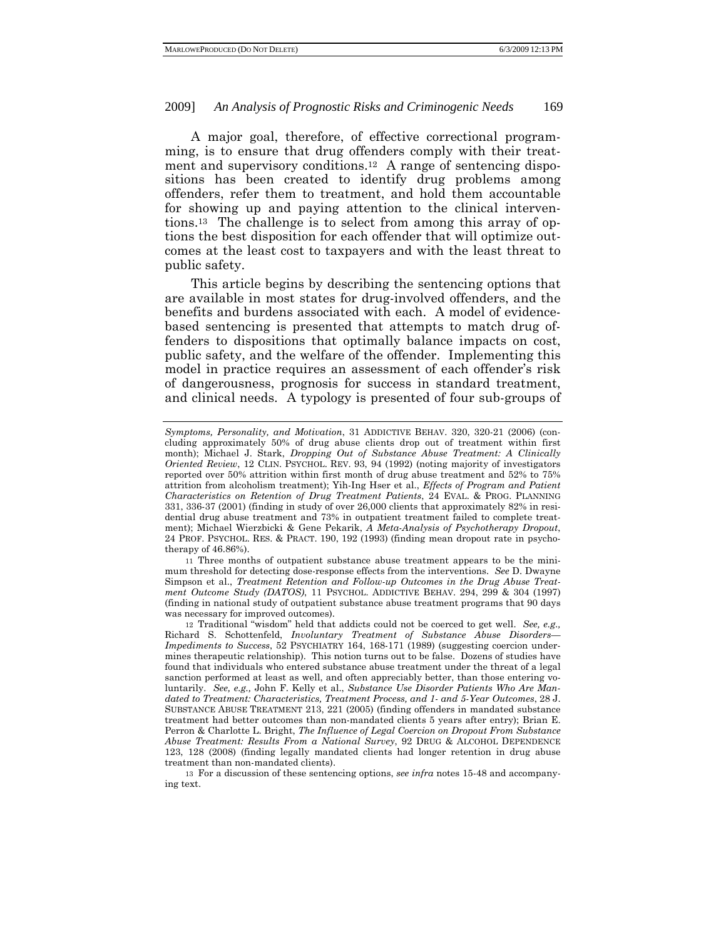A major goal, therefore, of effective correctional programming, is to ensure that drug offenders comply with their treatment and supervisory conditions.12 A range of sentencing dispositions has been created to identify drug problems among offenders, refer them to treatment, and hold them accountable for showing up and paying attention to the clinical interventions.13 The challenge is to select from among this array of options the best disposition for each offender that will optimize outcomes at the least cost to taxpayers and with the least threat to public safety.

This article begins by describing the sentencing options that are available in most states for drug-involved offenders, and the benefits and burdens associated with each. A model of evidencebased sentencing is presented that attempts to match drug offenders to dispositions that optimally balance impacts on cost, public safety, and the welfare of the offender. Implementing this model in practice requires an assessment of each offender's risk of dangerousness, prognosis for success in standard treatment, and clinical needs. A typology is presented of four sub-groups of

11 Three months of outpatient substance abuse treatment appears to be the minimum threshold for detecting dose-response effects from the interventions. *See* D. Dwayne Simpson et al., *Treatment Retention and Follow-up Outcomes in the Drug Abuse Treatment Outcome Study (DATOS)*, 11 PSYCHOL. ADDICTIVE BEHAV. 294, 299 & 304 (1997) (finding in national study of outpatient substance abuse treatment programs that 90 days was necessary for improved outcomes).

12 Traditional "wisdom" held that addicts could not be coerced to get well. *See, e.g.,*  Richard S. Schottenfeld, *Involuntary Treatment of Substance Abuse Disorders— Impediments to Success*, 52 PSYCHIATRY 164, 168-171 (1989) (suggesting coercion undermines therapeutic relationship). This notion turns out to be false. Dozens of studies have found that individuals who entered substance abuse treatment under the threat of a legal sanction performed at least as well, and often appreciably better, than those entering voluntarily. *See, e.g.,* John F. Kelly et al., *Substance Use Disorder Patients Who Are Mandated to Treatment: Characteristics, Treatment Process, and 1- and 5-Year Outcomes*, 28 J. SUBSTANCE ABUSE TREATMENT 213, 221 (2005) (finding offenders in mandated substance treatment had better outcomes than non-mandated clients 5 years after entry); Brian E. Perron & Charlotte L. Bright, *The Influence of Legal Coercion on Dropout From Substance Abuse Treatment: Results From a National Survey*, 92 DRUG & ALCOHOL DEPENDENCE 123, 128 (2008) (finding legally mandated clients had longer retention in drug abuse treatment than non-mandated clients).

13 For a discussion of these sentencing options, *see infra* notes 15-48 and accompanying text.

*Symptoms, Personality, and Motivation*, 31 ADDICTIVE BEHAV. 320, 320-21 (2006) (concluding approximately 50% of drug abuse clients drop out of treatment within first month); Michael J. Stark, *Dropping Out of Substance Abuse Treatment: A Clinically Oriented Review*, 12 CLIN. PSYCHOL. REV. 93, 94 (1992) (noting majority of investigators reported over 50% attrition within first month of drug abuse treatment and 52% to 75% attrition from alcoholism treatment); Yih-Ing Hser et al., *Effects of Program and Patient Characteristics on Retention of Drug Treatment Patients*, 24 EVAL. & PROG. PLANNING 331, 336-37 (2001) (finding in study of over 26,000 clients that approximately 82% in residential drug abuse treatment and 73% in outpatient treatment failed to complete treatment); Michael Wierzbicki & Gene Pekarik, *A Meta-Analysis of Psychotherapy Dropout*, 24 PROF. PSYCHOL. RES. & PRACT. 190, 192 (1993) (finding mean dropout rate in psychotherapy of 46.86%).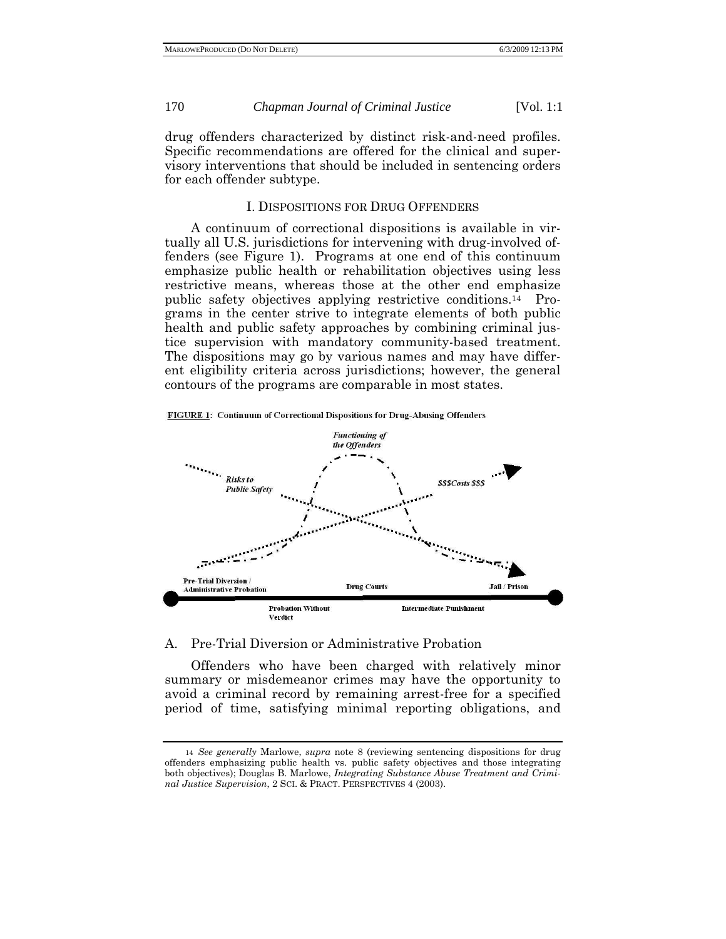drug offenders characterized by distinct risk-and-need profiles. Specific recommendations are offered for the clinical and supervisory interventions that should be included in sentencing orders for each offender subtype.

#### I. DISPOSITIONS FOR DRUG OFFENDERS

A continuum of correctional dispositions is available in virtually all U.S. jurisdictions for intervening with drug-involved offenders (see Figure 1). Programs at one end of this continuum emphasize public health or rehabilitation objectives using less restrictive means, whereas those at the other end emphasize public safety objectives applying restrictive conditions.14 Programs in the center strive to integrate elements of both public health and public safety approaches by combining criminal justice supervision with mandatory community-based treatment. The dispositions may go by various names and may have different eligibility criteria across jurisdictions; however, the general contours of the programs are comparable in most states.





## A. Pre-Trial Diversion or Administrative Probation

Offenders who have been charged with relatively minor summary or misdemeanor crimes may have the opportunity to avoid a criminal record by remaining arrest-free for a specified period of time, satisfying minimal reporting obligations, and

<sup>14</sup> *See generally* Marlowe, *supra* note 8 (reviewing sentencing dispositions for drug offenders emphasizing public health vs. public safety objectives and those integrating both objectives); Douglas B. Marlowe, *Integrating Substance Abuse Treatment and Criminal Justice Supervision*, 2 SCI. & PRACT. PERSPECTIVES 4 (2003).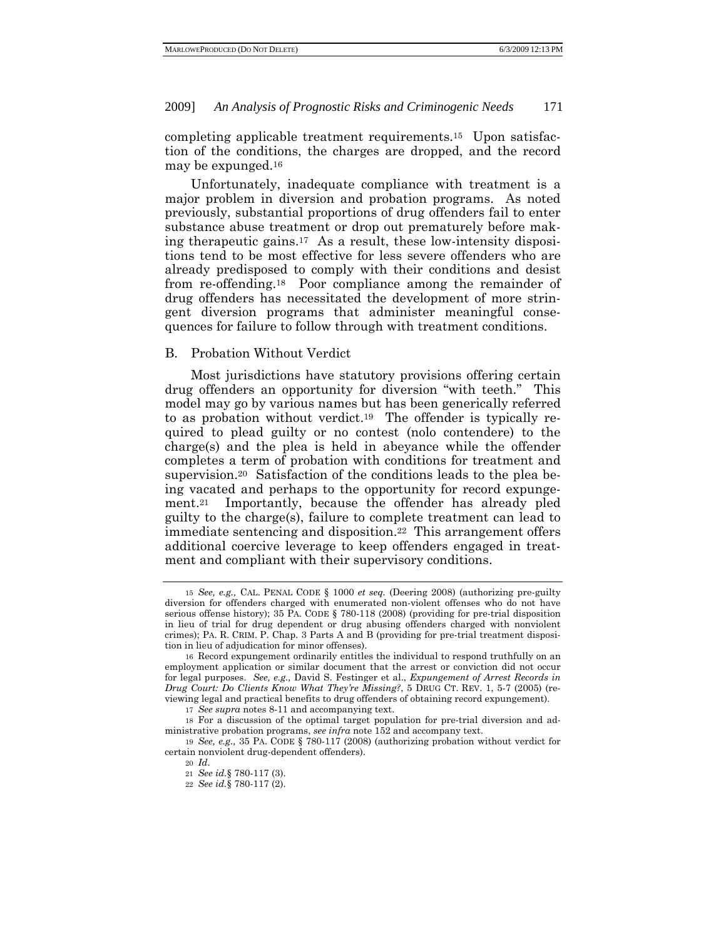completing applicable treatment requirements.15 Upon satisfaction of the conditions, the charges are dropped, and the record may be expunged.16

Unfortunately, inadequate compliance with treatment is a major problem in diversion and probation programs. As noted previously, substantial proportions of drug offenders fail to enter substance abuse treatment or drop out prematurely before making therapeutic gains.17 As a result, these low-intensity dispositions tend to be most effective for less severe offenders who are already predisposed to comply with their conditions and desist from re-offending.18 Poor compliance among the remainder of drug offenders has necessitated the development of more stringent diversion programs that administer meaningful consequences for failure to follow through with treatment conditions.

#### B. Probation Without Verdict

Most jurisdictions have statutory provisions offering certain drug offenders an opportunity for diversion "with teeth." This model may go by various names but has been generically referred to as probation without verdict.19 The offender is typically required to plead guilty or no contest (nolo contendere) to the charge(s) and the plea is held in abeyance while the offender completes a term of probation with conditions for treatment and supervision.20 Satisfaction of the conditions leads to the plea being vacated and perhaps to the opportunity for record expungement.21 Importantly, because the offender has already pled guilty to the charge(s), failure to complete treatment can lead to immediate sentencing and disposition.22 This arrangement offers additional coercive leverage to keep offenders engaged in treatment and compliant with their supervisory conditions.

<sup>15</sup> *See, e.g.,* CAL. PENAL CODE § 1000 *et seq.* (Deering 2008) (authorizing pre-guilty diversion for offenders charged with enumerated non-violent offenses who do not have serious offense history); 35 PA. CODE § 780-118 (2008) (providing for pre-trial disposition in lieu of trial for drug dependent or drug abusing offenders charged with nonviolent crimes); PA. R. CRIM. P. Chap. 3 Parts A and B (providing for pre-trial treatment disposition in lieu of adjudication for minor offenses).

<sup>16</sup> Record expungement ordinarily entitles the individual to respond truthfully on an employment application or similar document that the arrest or conviction did not occur for legal purposes. *See, e.g.,* David S. Festinger et al., *Expungement of Arrest Records in Drug Court: Do Clients Know What They're Missing?*, 5 DRUG CT. REV. 1, 5-7 (2005) (reviewing legal and practical benefits to drug offenders of obtaining record expungement).

<sup>17</sup> *See supra* notes 8-11 and accompanying text.

<sup>18</sup> For a discussion of the optimal target population for pre-trial diversion and administrative probation programs, *see infra* note 152 and accompany text.

<sup>19</sup> *See, e.g.,* 35 PA. CODE § 780-117 (2008) (authorizing probation without verdict for certain nonviolent drug-dependent offenders).

<sup>20</sup> *Id*.

<sup>21</sup> *See id.*§ 780-117 (3).

<sup>22</sup> *See id.*§ 780-117 (2).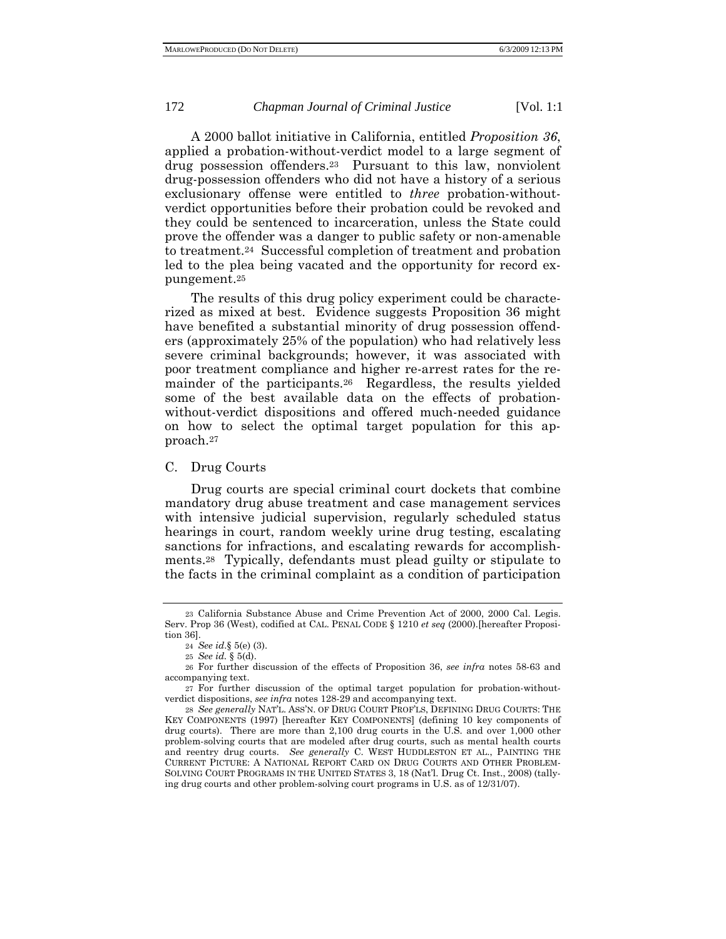A 2000 ballot initiative in California, entitled *Proposition 36*, applied a probation-without-verdict model to a large segment of drug possession offenders.23 Pursuant to this law, nonviolent drug-possession offenders who did not have a history of a serious exclusionary offense were entitled to *three* probation-withoutverdict opportunities before their probation could be revoked and they could be sentenced to incarceration, unless the State could prove the offender was a danger to public safety or non-amenable to treatment.24 Successful completion of treatment and probation led to the plea being vacated and the opportunity for record expungement.25

The results of this drug policy experiment could be characterized as mixed at best. Evidence suggests Proposition 36 might have benefited a substantial minority of drug possession offenders (approximately 25% of the population) who had relatively less severe criminal backgrounds; however, it was associated with poor treatment compliance and higher re-arrest rates for the remainder of the participants.26 Regardless, the results yielded some of the best available data on the effects of probationwithout-verdict dispositions and offered much-needed guidance on how to select the optimal target population for this approach.27

#### C. Drug Courts

Drug courts are special criminal court dockets that combine mandatory drug abuse treatment and case management services with intensive judicial supervision, regularly scheduled status hearings in court, random weekly urine drug testing, escalating sanctions for infractions, and escalating rewards for accomplishments.28 Typically, defendants must plead guilty or stipulate to the facts in the criminal complaint as a condition of participation

<sup>23</sup> California Substance Abuse and Crime Prevention Act of 2000, 2000 Cal. Legis. Serv. Prop 36 (West), codified at CAL. PENAL CODE § 1210 *et seq* (2000).[hereafter Proposition 36].

<sup>24</sup> *See id*.§ 5(e) (3).

<sup>25</sup> *See id.* § 5(d).

<sup>26</sup> For further discussion of the effects of Proposition 36, *see infra* notes 58-63 and accompanying text.

<sup>27</sup> For further discussion of the optimal target population for probation-withoutverdict dispositions, *see infra* notes 128-29 and accompanying text.

<sup>28</sup> *See generally* NAT'L. ASS'N. OF DRUG COURT PROF'LS, DEFINING DRUG COURTS: THE KEY COMPONENTS (1997) [hereafter KEY COMPONENTS] (defining 10 key components of drug courts). There are more than 2,100 drug courts in the U.S. and over 1,000 other problem-solving courts that are modeled after drug courts, such as mental health courts and reentry drug courts. *See generally* C. WEST HUDDLESTON ET AL., PAINTING THE CURRENT PICTURE: A NATIONAL REPORT CARD ON DRUG COURTS AND OTHER PROBLEM-SOLVING COURT PROGRAMS IN THE UNITED STATES 3, 18 (Nat'l. Drug Ct. Inst., 2008) (tallying drug courts and other problem-solving court programs in U.S. as of 12/31/07).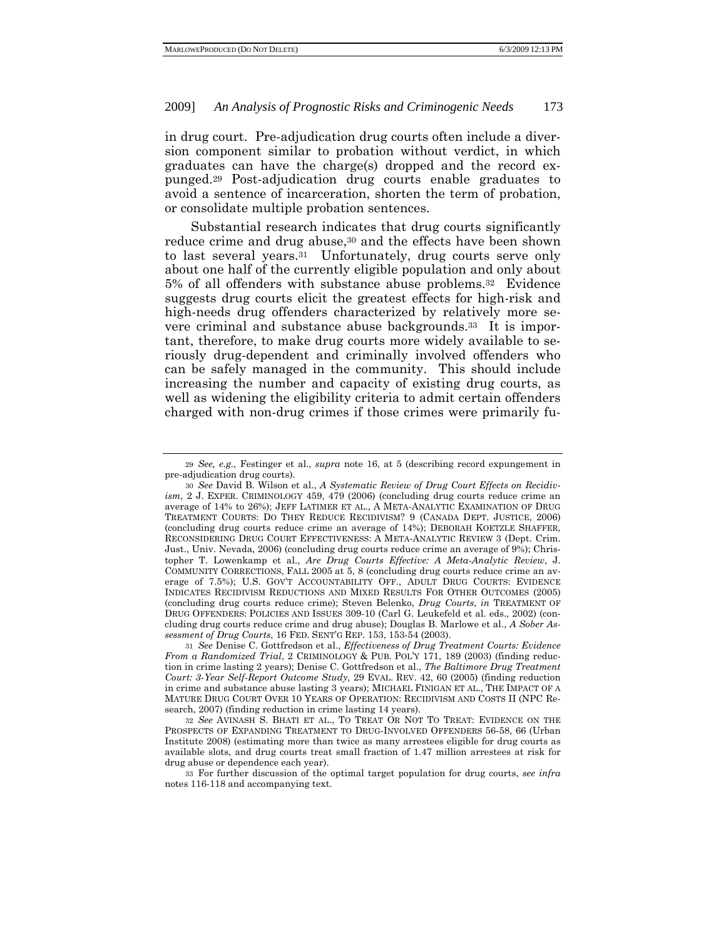in drug court. Pre-adjudication drug courts often include a diversion component similar to probation without verdict, in which graduates can have the charge(s) dropped and the record expunged.29 Post-adjudication drug courts enable graduates to avoid a sentence of incarceration, shorten the term of probation, or consolidate multiple probation sentences.

Substantial research indicates that drug courts significantly reduce crime and drug abuse,<sup>30</sup> and the effects have been shown to last several years.31 Unfortunately, drug courts serve only about one half of the currently eligible population and only about 5% of all offenders with substance abuse problems.32 Evidence suggests drug courts elicit the greatest effects for high-risk and high-needs drug offenders characterized by relatively more severe criminal and substance abuse backgrounds.33 It is important, therefore, to make drug courts more widely available to seriously drug-dependent and criminally involved offenders who can be safely managed in the community. This should include increasing the number and capacity of existing drug courts, as well as widening the eligibility criteria to admit certain offenders charged with non-drug crimes if those crimes were primarily fu-

<sup>29</sup> *See, e.g.,* Festinger et al., *supra* note 16, at 5 (describing record expungement in pre-adjudication drug courts).

<sup>30</sup> *See* David B. Wilson et al., *A Systematic Review of Drug Court Effects on Recidivism*, 2 J. EXPER. CRIMINOLOGY 459, 479 (2006) (concluding drug courts reduce crime an average of 14% to 26%); JEFF LATIMER ET AL., A META-ANALYTIC EXAMINATION OF DRUG TREATMENT COURTS: DO THEY REDUCE RECIDIVISM? 9 (CANADA DEPT. JUSTICE, 2006) (concluding drug courts reduce crime an average of 14%); DEBORAH KOETZLE SHAFFER, RECONSIDERING DRUG COURT EFFECTIVENESS: A META-ANALYTIC REVIEW 3 (Dept. Crim. Just., Univ. Nevada, 2006) (concluding drug courts reduce crime an average of 9%); Christopher T. Lowenkamp et al., *Are Drug Courts Effective: A Meta-Analytic Review*, J. COMMUNITY CORRECTIONS, FALL 2005 at 5, 8 (concluding drug courts reduce crime an average of 7.5%); U.S. GOV'T ACCOUNTABILITY OFF., ADULT DRUG COURTS: EVIDENCE INDICATES RECIDIVISM REDUCTIONS AND MIXED RESULTS FOR OTHER OUTCOMES (2005) (concluding drug courts reduce crime); Steven Belenko, *Drug Courts*, *in* TREATMENT OF DRUG OFFENDERS: POLICIES AND ISSUES 309-10 (Carl G. Leukefeld et al. eds., 2002) (concluding drug courts reduce crime and drug abuse); Douglas B. Marlowe et al., *A Sober Assessment of Drug Courts*, 16 FED. SENT'G REP. 153, 153-54 (2003).

<sup>31</sup> *See* Denise C. Gottfredson et al., *Effectiveness of Drug Treatment Courts: Evidence From a Randomized Trial*, 2 CRIMINOLOGY & PUB. POL'Y 171, 189 (2003) (finding reduction in crime lasting 2 years); Denise C. Gottfredson et al., *The Baltimore Drug Treatment Court: 3-Year Self-Report Outcome Study*, 29 EVAL. REV. 42, 60 (2005) (finding reduction in crime and substance abuse lasting 3 years); MICHAEL FINIGAN ET AL., THE IMPACT OF A MATURE DRUG COURT OVER 10 YEARS OF OPERATION: RECIDIVISM AND COSTS II (NPC Research, 2007) (finding reduction in crime lasting 14 years).

<sup>32</sup> *See* AVINASH S. BHATI ET AL., TO TREAT OR NOT TO TREAT: EVIDENCE ON THE PROSPECTS OF EXPANDING TREATMENT TO DRUG-INVOLVED OFFENDERS 56-58, 66 (Urban Institute 2008) (estimating more than twice as many arrestees eligible for drug courts as available slots, and drug courts treat small fraction of 1.47 million arrestees at risk for drug abuse or dependence each year).

<sup>33</sup> For further discussion of the optimal target population for drug courts, *see infra* notes 116-118 and accompanying text.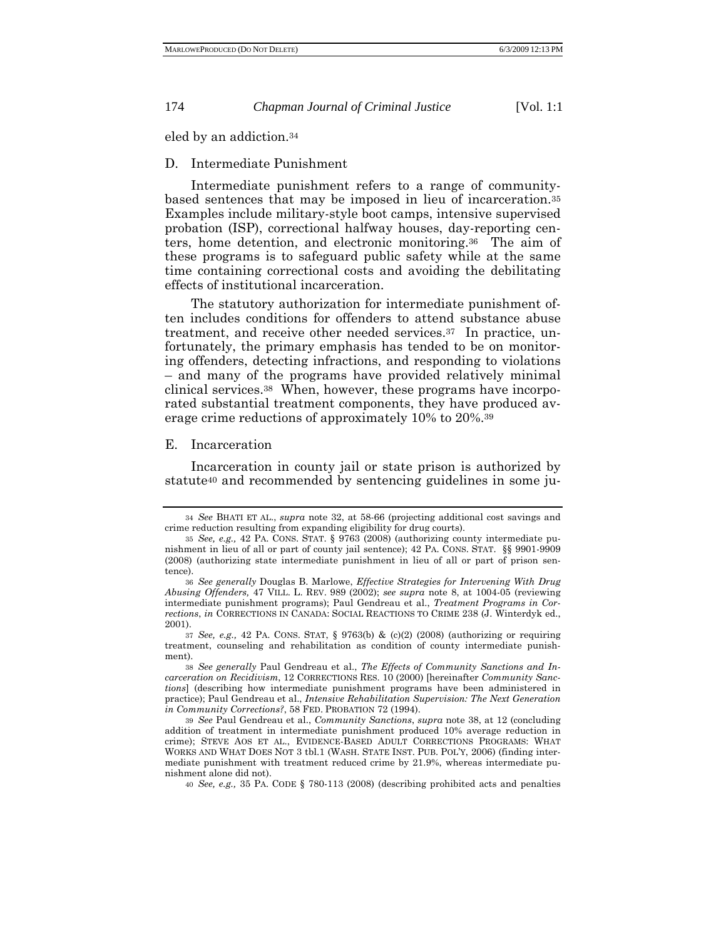eled by an addiction.34

D. Intermediate Punishment

Intermediate punishment refers to a range of communitybased sentences that may be imposed in lieu of incarceration.35 Examples include military-style boot camps, intensive supervised probation (ISP), correctional halfway houses, day-reporting centers, home detention, and electronic monitoring.36 The aim of these programs is to safeguard public safety while at the same time containing correctional costs and avoiding the debilitating effects of institutional incarceration.

The statutory authorization for intermediate punishment often includes conditions for offenders to attend substance abuse treatment, and receive other needed services.37 In practice, unfortunately, the primary emphasis has tended to be on monitoring offenders, detecting infractions, and responding to violations – and many of the programs have provided relatively minimal clinical services.38 When, however, these programs have incorporated substantial treatment components, they have produced average crime reductions of approximately 10% to 20%.39

#### E. Incarceration

Incarceration in county jail or state prison is authorized by statute40 and recommended by sentencing guidelines in some ju-

40 *See, e.g.,* 35 PA. CODE § 780-113 (2008) (describing prohibited acts and penalties

<sup>34</sup> *See* BHATI ET AL., *supra* note 32, at 58-66 (projecting additional cost savings and crime reduction resulting from expanding eligibility for drug courts).

<sup>35</sup> *See, e.g.,* 42 PA. CONS. STAT. § 9763 (2008) (authorizing county intermediate punishment in lieu of all or part of county jail sentence); 42 PA. CONS. STAT. §§ 9901-9909 (2008) (authorizing state intermediate punishment in lieu of all or part of prison sentence).

<sup>36</sup> *See generally* Douglas B. Marlowe, *Effective Strategies for Intervening With Drug Abusing Offenders,* 47 VILL. L. REV. 989 (2002); *see supra* note 8, at 1004-05 (reviewing intermediate punishment programs); Paul Gendreau et al., *Treatment Programs in Corrections*, *in* CORRECTIONS IN CANADA: SOCIAL REACTIONS TO CRIME 238 (J. Winterdyk ed., 2001).

<sup>37</sup> *See, e.g.,* 42 PA. CONS. STAT, § 9763(b) & (c)(2) (2008) (authorizing or requiring treatment, counseling and rehabilitation as condition of county intermediate punishment).

<sup>38</sup> *See generally* Paul Gendreau et al., *The Effects of Community Sanctions and Incarceration on Recidivism*, 12 CORRECTIONS RES. 10 (2000) [hereinafter *Community Sanctions*] (describing how intermediate punishment programs have been administered in practice); Paul Gendreau et al., *Intensive Rehabilitation Supervision: The Next Generation in Community Corrections?*, 58 FED. PROBATION 72 (1994).

<sup>39</sup> *See* Paul Gendreau et al., *Community Sanctions*, *supra* note 38, at 12 (concluding addition of treatment in intermediate punishment produced 10% average reduction in crime); STEVE AOS ET AL., EVIDENCE-BASED ADULT CORRECTIONS PROGRAMS: WHAT WORKS AND WHAT DOES NOT 3 tbl.1 (WASH. STATE INST. PUB. POL'Y, 2006) (finding intermediate punishment with treatment reduced crime by 21.9%, whereas intermediate punishment alone did not).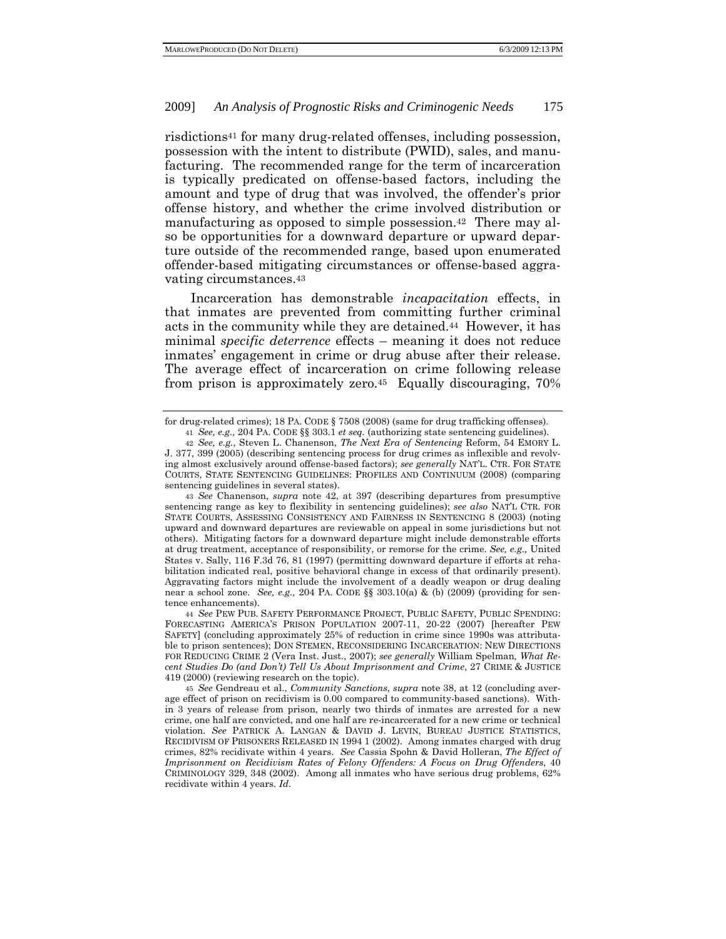risdictions41 for many drug-related offenses, including possession, possession with the intent to distribute (PWID), sales, and manufacturing. The recommended range for the term of incarceration is typically predicated on offense-based factors, including the amount and type of drug that was involved, the offender's prior offense history, and whether the crime involved distribution or manufacturing as opposed to simple possession.42 There may also be opportunities for a downward departure or upward departure outside of the recommended range, based upon enumerated offender-based mitigating circumstances or offense-based aggravating circumstances.43

Incarceration has demonstrable *incapacitation* effects, in that inmates are prevented from committing further criminal acts in the community while they are detained.44 However, it has minimal *specific deterrence* effects – meaning it does not reduce inmates' engagement in crime or drug abuse after their release. The average effect of incarceration on crime following release from prison is approximately zero.45 Equally discouraging, 70%

43 *See* Chanenson, *supra* note 42, at 397 (describing departures from presumptive sentencing range as key to flexibility in sentencing guidelines); *see also* NAT'L CTR. FOR STATE COURTS, ASSESSING CONSISTENCY AND FAIRNESS IN SENTENCING 8 (2003) (noting upward and downward departures are reviewable on appeal in some jurisdictions but not others). Mitigating factors for a downward departure might include demonstrable efforts at drug treatment, acceptance of responsibility, or remorse for the crime. *See, e.g.,* United States v. Sally, 116 F.3d 76, 81 (1997) (permitting downward departure if efforts at rehabilitation indicated real, positive behavioral change in excess of that ordinarily present). Aggravating factors might include the involvement of a deadly weapon or drug dealing near a school zone. *See, e.g.,* 204 PA. CODE §§ 303.10(a) & (b) (2009) (providing for sentence enhancements).

44 *See* PEW PUB. SAFETY PERFORMANCE PROJECT, PUBLIC SAFETY, PUBLIC SPENDING: FORECASTING AMERICA'S PRISON POPULATION 2007-11, 20-22 (2007) [hereafter PEW SAFETY] (concluding approximately 25% of reduction in crime since 1990s was attributable to prison sentences); DON STEMEN, RECONSIDERING INCARCERATION: NEW DIRECTIONS FOR REDUCING CRIME 2 (Vera Inst. Just., 2007); *see generally* William Spelman*, What Recent Studies Do (and Don't) Tell Us About Imprisonment and Crime*, 27 CRIME & JUSTICE 419 (2000) (reviewing research on the topic).

45 *See* Gendreau et al., *Community Sanctions*, *supra* note 38, at 12 (concluding average effect of prison on recidivism is 0.00 compared to community-based sanctions). Within 3 years of release from prison, nearly two thirds of inmates are arrested for a new crime, one half are convicted, and one half are re-incarcerated for a new crime or technical violation. *See* PATRICK A. LANGAN & DAVID J. LEVIN, BUREAU JUSTICE STATISTICS, RECIDIVISM OF PRISONERS RELEASED IN 1994 1 (2002).Among inmates charged with drug crimes, 82% recidivate within 4 years. *See* Cassia Spohn & David Holleran, *The Effect of Imprisonment on Recidivism Rates of Felony Offenders: A Focus on Drug Offenders*, 40 CRIMINOLOGY 329, 348 (2002). Among all inmates who have serious drug problems, 62% recidivate within 4 years. *Id*.

for drug-related crimes); 18 PA. CODE § 7508 (2008) (same for drug trafficking offenses). 41 *See, e.g.,* 204 PA. CODE §§ 303.1 *et seq.* (authorizing state sentencing guidelines).

<sup>42</sup> *See, e.g.*, Steven L. Chanenson, *The Next Era of Sentencing* Reform, 54 EMORY L. J. 377, 399 (2005) (describing sentencing process for drug crimes as inflexible and revolving almost exclusively around offense-based factors); *see generally* NAT'L. CTR. FOR STATE COURTS, STATE SENTENCING GUIDELINES: PROFILES AND CONTINUUM (2008) (comparing sentencing guidelines in several states).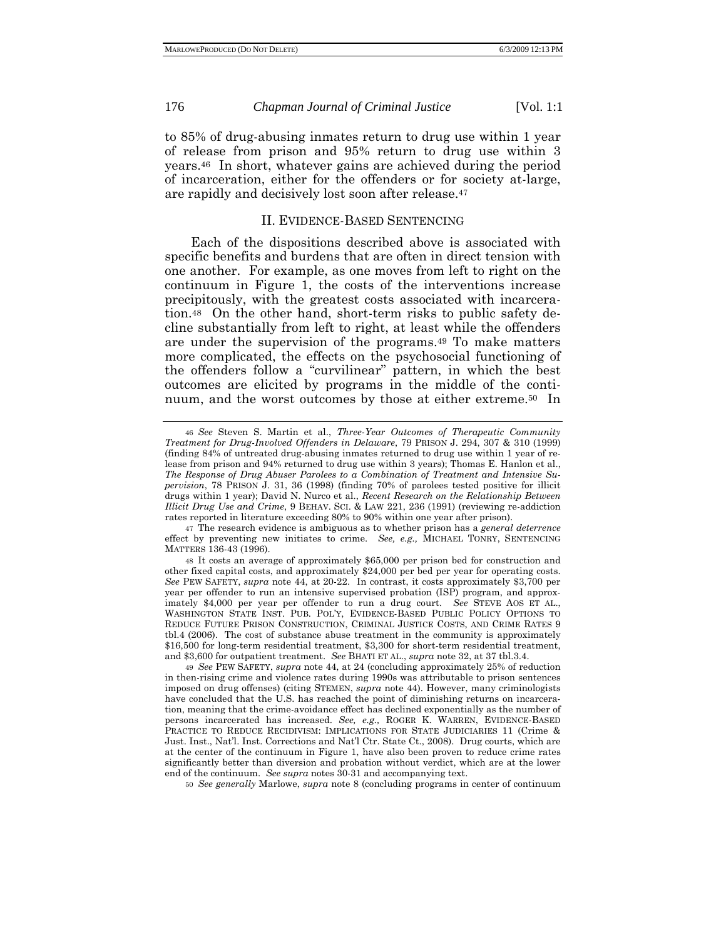to 85% of drug-abusing inmates return to drug use within 1 year of release from prison and 95% return to drug use within 3 years.46 In short, whatever gains are achieved during the period of incarceration, either for the offenders or for society at-large, are rapidly and decisively lost soon after release.47

# II. EVIDENCE-BASED SENTENCING

Each of the dispositions described above is associated with specific benefits and burdens that are often in direct tension with one another. For example, as one moves from left to right on the continuum in Figure 1, the costs of the interventions increase precipitously, with the greatest costs associated with incarceration.48 On the other hand, short-term risks to public safety decline substantially from left to right, at least while the offenders are under the supervision of the programs.49 To make matters more complicated, the effects on the psychosocial functioning of the offenders follow a "curvilinear" pattern, in which the best outcomes are elicited by programs in the middle of the continuum, and the worst outcomes by those at either extreme.50 In

49 *See* PEW SAFETY, *supra* note 44, at 24 (concluding approximately 25% of reduction in then-rising crime and violence rates during 1990s was attributable to prison sentences imposed on drug offenses) (citing STEMEN, *supra* note 44). However, many criminologists have concluded that the U.S. has reached the point of diminishing returns on incarceration, meaning that the crime-avoidance effect has declined exponentially as the number of persons incarcerated has increased. *See, e.g.,* ROGER K. WARREN, EVIDENCE-BASED PRACTICE TO REDUCE RECIDIVISM: IMPLICATIONS FOR STATE JUDICIARIES 11 (Crime & Just. Inst., Nat'l. Inst. Corrections and Nat'l Ctr. State Ct., 2008). Drug courts, which are at the center of the continuum in Figure 1, have also been proven to reduce crime rates significantly better than diversion and probation without verdict, which are at the lower end of the continuum. *See supra* notes 30-31 and accompanying text.

50 *See generally* Marlowe, *supra* note 8 (concluding programs in center of continuum

<sup>46</sup> *See* Steven S. Martin et al., *Three-Year Outcomes of Therapeutic Community Treatment for Drug-Involved Offenders in Delaware*, 79 PRISON J. 294, 307 & 310 (1999) (finding 84% of untreated drug-abusing inmates returned to drug use within 1 year of release from prison and 94% returned to drug use within 3 years); Thomas E. Hanlon et al., *The Response of Drug Abuser Parolees to a Combination of Treatment and Intensive Supervision*, 78 PRISON J. 31, 36 (1998) (finding 70% of parolees tested positive for illicit drugs within 1 year); David N. Nurco et al., *Recent Research on the Relationship Between Illicit Drug Use and Crime*, 9 BEHAV. SCI. & LAW 221, 236 (1991) (reviewing re-addiction rates reported in literature exceeding 80% to 90% within one year after prison).

<sup>47</sup> The research evidence is ambiguous as to whether prison has a *general deterrence* effect by preventing new initiates to crime. *See, e.g.,* MICHAEL TONRY, SENTENCING MATTERS 136-43 (1996).

<sup>48</sup> It costs an average of approximately \$65,000 per prison bed for construction and other fixed capital costs, and approximately \$24,000 per bed per year for operating costs. *See* PEW SAFETY, *supra* note 44, at 20-22. In contrast, it costs approximately \$3,700 per year per offender to run an intensive supervised probation (ISP) program, and approximately \$4,000 per year per offender to run a drug court. *See* STEVE AOS ET AL., WASHINGTON STATE INST. PUB. POL'Y, EVIDENCE-BASED PUBLIC POLICY OPTIONS TO REDUCE FUTURE PRISON CONSTRUCTION, CRIMINAL JUSTICE COSTS, AND CRIME RATES 9 tbl.4 (2006). The cost of substance abuse treatment in the community is approximately \$16,500 for long-term residential treatment, \$3,300 for short-term residential treatment, and \$3,600 for outpatient treatment. *See* BHATI ET AL., *supra* note 32, at 37 tbl.3.4.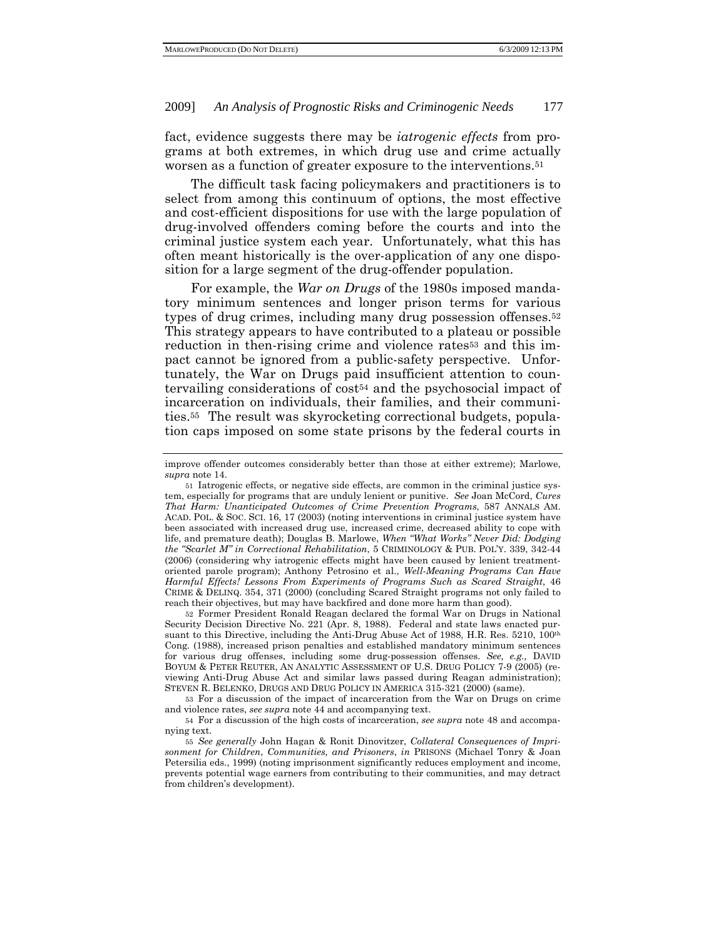fact, evidence suggests there may be *iatrogenic effects* from programs at both extremes, in which drug use and crime actually worsen as a function of greater exposure to the interventions.51

The difficult task facing policymakers and practitioners is to select from among this continuum of options, the most effective and cost-efficient dispositions for use with the large population of drug-involved offenders coming before the courts and into the criminal justice system each year. Unfortunately, what this has often meant historically is the over-application of any one disposition for a large segment of the drug-offender population.

For example, the *War on Drugs* of the 1980s imposed mandatory minimum sentences and longer prison terms for various types of drug crimes, including many drug possession offenses.<sup>52</sup> This strategy appears to have contributed to a plateau or possible reduction in then-rising crime and violence rates<sup>53</sup> and this impact cannot be ignored from a public-safety perspective. Unfortunately, the War on Drugs paid insufficient attention to countervailing considerations of cost54 and the psychosocial impact of incarceration on individuals, their families, and their communities.55 The result was skyrocketing correctional budgets, population caps imposed on some state prisons by the federal courts in

52 Former President Ronald Reagan declared the formal War on Drugs in National Security Decision Directive No. 221 (Apr. 8, 1988). Federal and state laws enacted pursuant to this Directive, including the Anti-Drug Abuse Act of 1988, H.R. Res. 5210, 100th Cong. (1988), increased prison penalties and established mandatory minimum sentences for various drug offenses, including some drug-possession offenses. *See, e.g.,* DAVID BOYUM & PETER REUTER, AN ANALYTIC ASSESSMENT OF U.S. DRUG POLICY 7-9 (2005) (reviewing Anti-Drug Abuse Act and similar laws passed during Reagan administration); STEVEN R. BELENKO, DRUGS AND DRUG POLICY IN AMERICA 315-321 (2000) (same).

54 For a discussion of the high costs of incarceration, *see supra* note 48 and accompanying text.

improve offender outcomes considerably better than those at either extreme); Marlowe, *supra* note 14.

<sup>51</sup> Iatrogenic effects, or negative side effects, are common in the criminal justice system, especially for programs that are unduly lenient or punitive. *See* Joan McCord, *Cures That Harm: Unanticipated Outcomes of Crime Prevention Programs*, 587 ANNALS AM. ACAD. POL. & SOC. SCI. 16, 17 (2003) (noting interventions in criminal justice system have been associated with increased drug use, increased crime, decreased ability to cope with life, and premature death); Douglas B. Marlowe, *When "What Works" Never Did: Dodging the "Scarlet M" in Correctional Rehabilitation*, 5 CRIMINOLOGY & PUB. POL'Y. 339, 342-44 (2006) (considering why iatrogenic effects might have been caused by lenient treatmentoriented parole program); Anthony Petrosino et al., *Well-Meaning Programs Can Have Harmful Effects! Lessons From Experiments of Programs Such as Scared Straight*, 46 CRIME & DELINQ. 354, 371 (2000) (concluding Scared Straight programs not only failed to reach their objectives, but may have backfired and done more harm than good).

<sup>53</sup> For a discussion of the impact of incarceration from the War on Drugs on crime and violence rates, *see supra* note 44 and accompanying text.

<sup>55</sup> *See generally* John Hagan & Ronit Dinovitzer, *Collateral Consequences of Imprisonment for Children*, *Communities, and Prisoners*, *in* PRISONS (Michael Tonry & Joan Petersilia eds., 1999) (noting imprisonment significantly reduces employment and income, prevents potential wage earners from contributing to their communities, and may detract from children's development).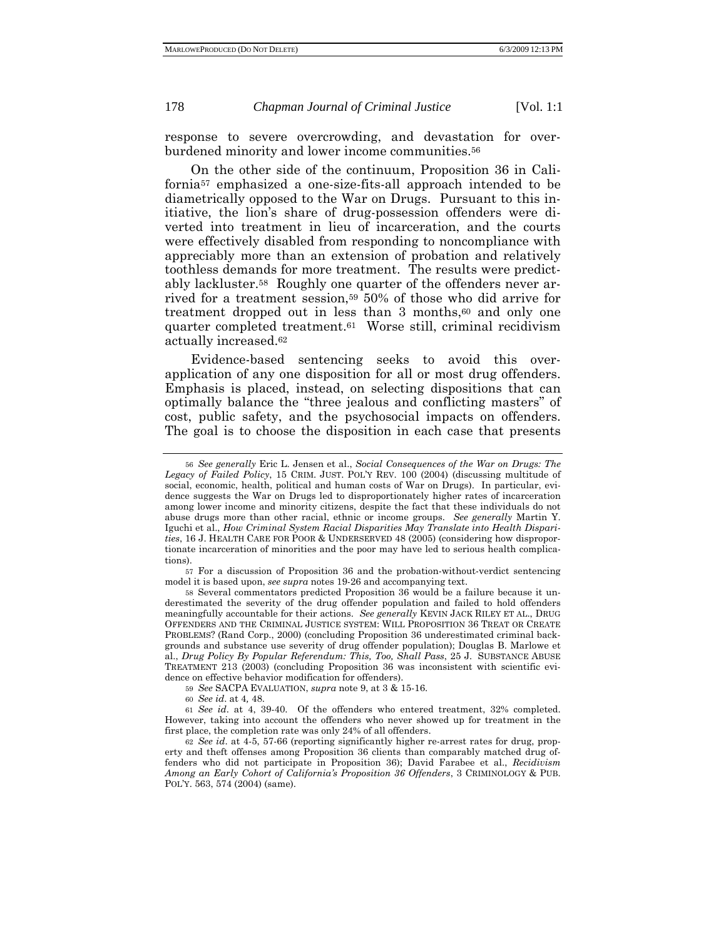response to severe overcrowding, and devastation for overburdened minority and lower income communities.56

On the other side of the continuum, Proposition 36 in California57 emphasized a one-size-fits-all approach intended to be diametrically opposed to the War on Drugs. Pursuant to this initiative, the lion's share of drug-possession offenders were diverted into treatment in lieu of incarceration, and the courts were effectively disabled from responding to noncompliance with appreciably more than an extension of probation and relatively toothless demands for more treatment. The results were predictably lackluster.58 Roughly one quarter of the offenders never arrived for a treatment session,59 50% of those who did arrive for treatment dropped out in less than 3 months,<sup>60</sup> and only one quarter completed treatment.61 Worse still, criminal recidivism actually increased.62

Evidence-based sentencing seeks to avoid this overapplication of any one disposition for all or most drug offenders. Emphasis is placed, instead, on selecting dispositions that can optimally balance the "three jealous and conflicting masters" of cost, public safety, and the psychosocial impacts on offenders. The goal is to choose the disposition in each case that presents

57 For a discussion of Proposition 36 and the probation-without-verdict sentencing model it is based upon, *see supra* notes 19-26 and accompanying text.

<sup>56</sup> *See generally* Eric L. Jensen et al., *Social Consequences of the War on Drugs: The Legacy of Failed Policy*, 15 CRIM. JUST. POL'Y REV. 100 (2004) (discussing multitude of social, economic, health, political and human costs of War on Drugs). In particular, evidence suggests the War on Drugs led to disproportionately higher rates of incarceration among lower income and minority citizens, despite the fact that these individuals do not abuse drugs more than other racial, ethnic or income groups. *See generally* Martin Y. Iguchi et al., *How Criminal System Racial Disparities May Translate into Health Disparities*, 16 J. HEALTH CARE FOR POOR & UNDERSERVED 48 (2005) (considering how disproportionate incarceration of minorities and the poor may have led to serious health complications).

<sup>58</sup> Several commentators predicted Proposition 36 would be a failure because it underestimated the severity of the drug offender population and failed to hold offenders meaningfully accountable for their actions. *See generally* KEVIN JACK RILEY ET AL., DRUG OFFENDERS AND THE CRIMINAL JUSTICE SYSTEM: WILL PROPOSITION 36 TREAT OR CREATE PROBLEMS? (Rand Corp., 2000) (concluding Proposition 36 underestimated criminal backgrounds and substance use severity of drug offender population); Douglas B. Marlowe et al., *Drug Policy By Popular Referendum: This, Too, Shall Pass*, 25 J. SUBSTANCE ABUSE TREATMENT 213 (2003) (concluding Proposition 36 was inconsistent with scientific evidence on effective behavior modification for offenders).

<sup>59</sup> *See* SACPA EVALUATION, *supra* note 9, at 3 & 15-16.

<sup>60</sup> *See id*. at 4*,* 48.

<sup>61</sup> *See id*. at 4, 39-40. Of the offenders who entered treatment, 32% completed. However, taking into account the offenders who never showed up for treatment in the first place, the completion rate was only 24% of all offenders.

<sup>62</sup> *See id*. at 4-5, 57-66 (reporting significantly higher re-arrest rates for drug, property and theft offenses among Proposition 36 clients than comparably matched drug offenders who did not participate in Proposition 36); David Farabee et al., *Recidivism Among an Early Cohort of California's Proposition 36 Offenders*, 3 CRIMINOLOGY & PUB. POL'Y. 563, 574 (2004) (same).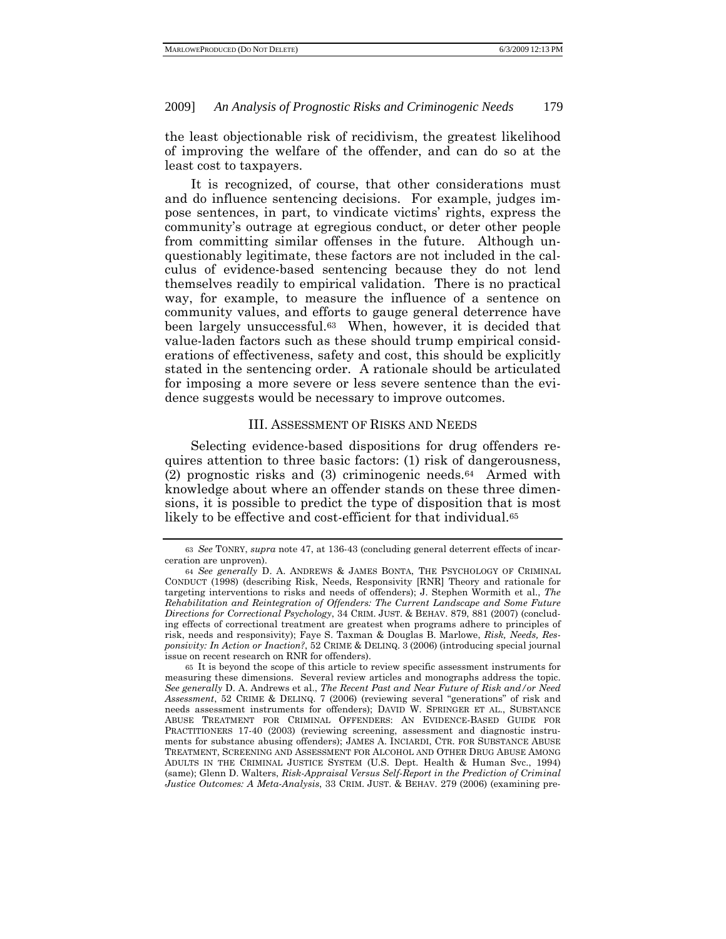the least objectionable risk of recidivism, the greatest likelihood of improving the welfare of the offender, and can do so at the least cost to taxpayers.

It is recognized, of course, that other considerations must and do influence sentencing decisions. For example, judges impose sentences, in part, to vindicate victims' rights, express the community's outrage at egregious conduct, or deter other people from committing similar offenses in the future. Although unquestionably legitimate, these factors are not included in the calculus of evidence-based sentencing because they do not lend themselves readily to empirical validation. There is no practical way, for example, to measure the influence of a sentence on community values, and efforts to gauge general deterrence have been largely unsuccessful.63 When, however, it is decided that value-laden factors such as these should trump empirical considerations of effectiveness, safety and cost, this should be explicitly stated in the sentencing order. A rationale should be articulated for imposing a more severe or less severe sentence than the evidence suggests would be necessary to improve outcomes.

#### III. ASSESSMENT OF RISKS AND NEEDS

Selecting evidence-based dispositions for drug offenders requires attention to three basic factors: (1) risk of dangerousness, (2) prognostic risks and (3) criminogenic needs.64 Armed with knowledge about where an offender stands on these three dimensions, it is possible to predict the type of disposition that is most likely to be effective and cost-efficient for that individual.<sup>65</sup>

<sup>63</sup> *See* TONRY, *supra* note 47, at 136-43 (concluding general deterrent effects of incarceration are unproven).

<sup>64</sup> *See generally* D. A. ANDREWS & JAMES BONTA, THE PSYCHOLOGY OF CRIMINAL CONDUCT (1998) (describing Risk, Needs, Responsivity [RNR] Theory and rationale for targeting interventions to risks and needs of offenders); J. Stephen Wormith et al., *The Rehabilitation and Reintegration of Offenders: The Current Landscape and Some Future Directions for Correctional Psychology*, 34 CRIM. JUST. & BEHAV. 879, 881 (2007) (concluding effects of correctional treatment are greatest when programs adhere to principles of risk, needs and responsivity); Faye S. Taxman & Douglas B. Marlowe, *Risk, Needs, Responsivity: In Action or Inaction?*, 52 CRIME & DELINQ. 3 (2006) (introducing special journal issue on recent research on RNR for offenders).

<sup>65</sup> It is beyond the scope of this article to review specific assessment instruments for measuring these dimensions. Several review articles and monographs address the topic. *See generally* D. A. Andrews et al., *The Recent Past and Near Future of Risk and/or Need Assessment*, 52 CRIME & DELINQ. 7 (2006) (reviewing several "generations" of risk and needs assessment instruments for offenders); DAVID W. SPRINGER ET AL., SUBSTANCE ABUSE TREATMENT FOR CRIMINAL OFFENDERS: AN EVIDENCE-BASED GUIDE FOR PRACTITIONERS 17-40 (2003) (reviewing screening, assessment and diagnostic instruments for substance abusing offenders); JAMES A. INCIARDI, CTR. FOR SUBSTANCE ABUSE TREATMENT, SCREENING AND ASSESSMENT FOR ALCOHOL AND OTHER DRUG ABUSE AMONG ADULTS IN THE CRIMINAL JUSTICE SYSTEM (U.S. Dept. Health & Human Svc., 1994) (same); Glenn D. Walters, *Risk-Appraisal Versus Self-Report in the Prediction of Criminal Justice Outcomes: A Meta-Analysis*, 33 CRIM. JUST. & BEHAV. 279 (2006) (examining pre-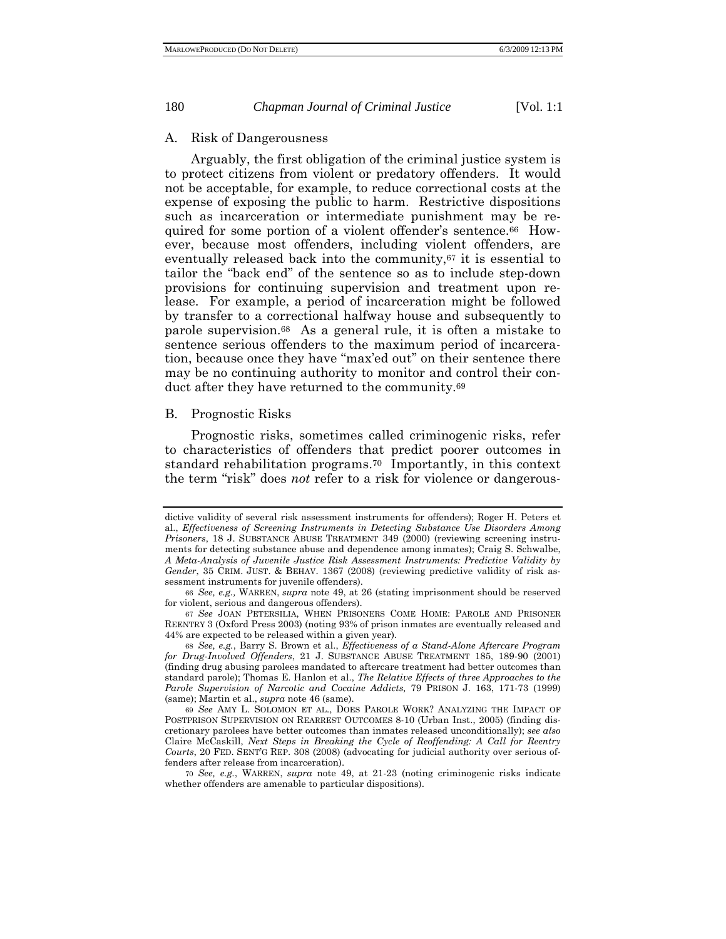#### A. Risk of Dangerousness

Arguably, the first obligation of the criminal justice system is to protect citizens from violent or predatory offenders. It would not be acceptable, for example, to reduce correctional costs at the expense of exposing the public to harm. Restrictive dispositions such as incarceration or intermediate punishment may be required for some portion of a violent offender's sentence.66 However, because most offenders, including violent offenders, are eventually released back into the community,67 it is essential to tailor the "back end" of the sentence so as to include step-down provisions for continuing supervision and treatment upon release. For example, a period of incarceration might be followed by transfer to a correctional halfway house and subsequently to parole supervision.68 As a general rule, it is often a mistake to sentence serious offenders to the maximum period of incarceration, because once they have "max'ed out" on their sentence there may be no continuing authority to monitor and control their conduct after they have returned to the community.69

## B. Prognostic Risks

Prognostic risks, sometimes called criminogenic risks, refer to characteristics of offenders that predict poorer outcomes in standard rehabilitation programs.70 Importantly, in this context the term "risk" does *not* refer to a risk for violence or dangerous-

dictive validity of several risk assessment instruments for offenders); Roger H. Peters et al., *Effectiveness of Screening Instruments in Detecting Substance Use Disorders Among Prisoners*, 18 J. SUBSTANCE ABUSE TREATMENT 349 (2000) (reviewing screening instruments for detecting substance abuse and dependence among inmates); Craig S. Schwalbe, *A Meta-Analysis of Juvenile Justice Risk Assessment Instruments: Predictive Validity by Gender*, 35 CRIM. JUST. & BEHAV. 1367 (2008) (reviewing predictive validity of risk assessment instruments for juvenile offenders).

<sup>66</sup> *See, e.g.,* WARREN, *supra* note 49, at 26 (stating imprisonment should be reserved for violent, serious and dangerous offenders).

<sup>67</sup> *See* JOAN PETERSILIA, WHEN PRISONERS COME HOME: PAROLE AND PRISONER REENTRY 3 (Oxford Press 2003) (noting 93% of prison inmates are eventually released and 44% are expected to be released within a given year).

<sup>68</sup> *See, e.g.*, Barry S. Brown et al., *Effectiveness of a Stand-Alone Aftercare Program for Drug-Involved Offenders*, 21 J. SUBSTANCE ABUSE TREATMENT 185, 189-90 (2001) (finding drug abusing parolees mandated to aftercare treatment had better outcomes than standard parole); Thomas E. Hanlon et al., *The Relative Effects of three Approaches to the Parole Supervision of Narcotic and Cocaine Addicts,* 79 PRISON J. 163, 171-73 (1999) (same); Martin et al., *supra* note 46 (same).

<sup>69</sup> *See* AMY L. SOLOMON ET AL., DOES PAROLE WORK? ANALYZING THE IMPACT OF POSTPRISON SUPERVISION ON REARREST OUTCOMES 8-10 (Urban Inst., 2005) (finding discretionary parolees have better outcomes than inmates released unconditionally); *see also*  Claire McCaskill, *Next Steps in Breaking the Cycle of Reoffending: A Call for Reentry Courts*, 20 FED. SENT'G REP. 308 (2008) (advocating for judicial authority over serious offenders after release from incarceration).

<sup>70</sup> *See, e.g.*, WARREN, *supra* note 49, at 21-23 (noting criminogenic risks indicate whether offenders are amenable to particular dispositions).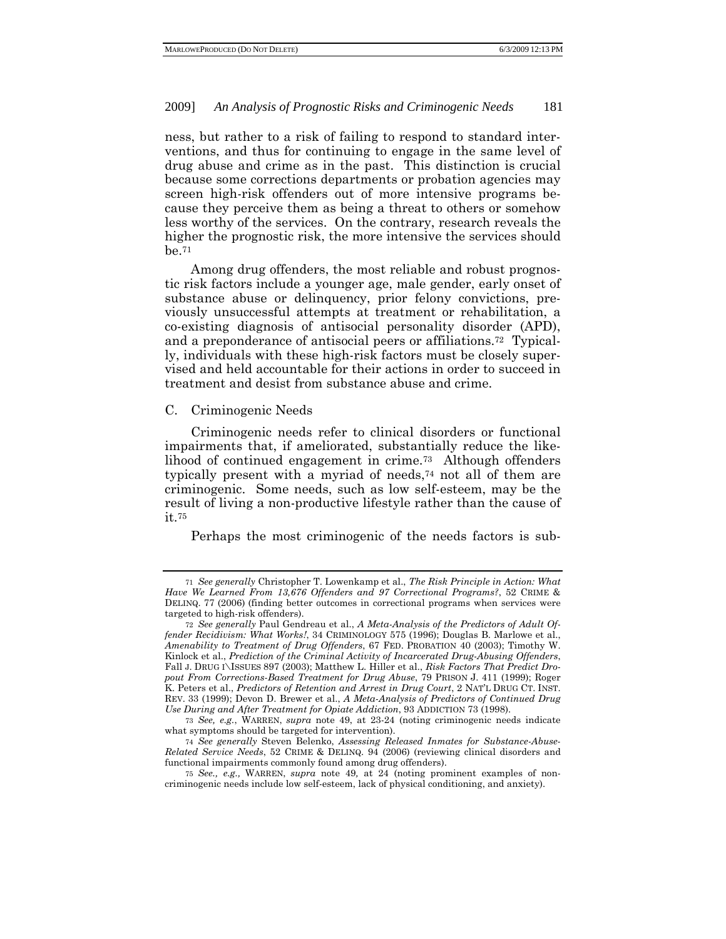ness, but rather to a risk of failing to respond to standard interventions, and thus for continuing to engage in the same level of drug abuse and crime as in the past. This distinction is crucial because some corrections departments or probation agencies may screen high-risk offenders out of more intensive programs because they perceive them as being a threat to others or somehow less worthy of the services. On the contrary, research reveals the higher the prognostic risk, the more intensive the services should be.71

Among drug offenders, the most reliable and robust prognostic risk factors include a younger age, male gender, early onset of substance abuse or delinquency, prior felony convictions, previously unsuccessful attempts at treatment or rehabilitation, a co-existing diagnosis of antisocial personality disorder (APD), and a preponderance of antisocial peers or affiliations.72 Typically, individuals with these high-risk factors must be closely supervised and held accountable for their actions in order to succeed in treatment and desist from substance abuse and crime.

## C. Criminogenic Needs

Criminogenic needs refer to clinical disorders or functional impairments that, if ameliorated, substantially reduce the likelihood of continued engagement in crime.73 Although offenders typically present with a myriad of needs,74 not all of them are criminogenic. Some needs, such as low self-esteem, may be the result of living a non-productive lifestyle rather than the cause of it.75

Perhaps the most criminogenic of the needs factors is sub-

<sup>71</sup> *See generally* Christopher T. Lowenkamp et al., *The Risk Principle in Action: What Have We Learned From 13,676 Offenders and 97 Correctional Programs?*, 52 CRIME & DELINQ. 77 (2006) (finding better outcomes in correctional programs when services were targeted to high-risk offenders).

<sup>72</sup> *See generally* Paul Gendreau et al., *A Meta-Analysis of the Predictors of Adult Offender Recidivism: What Works!*, 34 CRIMINOLOGY 575 (1996); Douglas B. Marlowe et al., *Amenability to Treatment of Drug Offenders*, 67 FED. PROBATION 40 (2003); Timothy W. Kinlock et al., *Prediction of the Criminal Activity of Incarcerated Drug-Abusing Offenders*, Fall J. DRUG I\ISSUES 897 (2003); Matthew L. Hiller et al., *Risk Factors That Predict Dropout From Corrections-Based Treatment for Drug Abuse*, 79 PRISON J. 411 (1999); Roger K. Peters et al., *Predictors of Retention and Arrest in Drug Court*, 2 NAT'L DRUG CT. INST. REV. 33 (1999); Devon D. Brewer et al., *A Meta-Analysis of Predictors of Continued Drug Use During and After Treatment for Opiate Addiction*, 93 ADDICTION 73 (1998).

<sup>73</sup> *See, e.g.*, WARREN, *supra* note 49, at 23-24 (noting criminogenic needs indicate what symptoms should be targeted for intervention).

<sup>74</sup> *See generally* Steven Belenko, *Assessing Released Inmates for Substance-Abuse-Related Service Needs*, 52 CRIME & DELINQ. 94 (2006) (reviewing clinical disorders and functional impairments commonly found among drug offenders).

<sup>75</sup> *See., e.g.,* WARREN, *supra* note 49*,* at 24 (noting prominent examples of noncriminogenic needs include low self-esteem, lack of physical conditioning, and anxiety).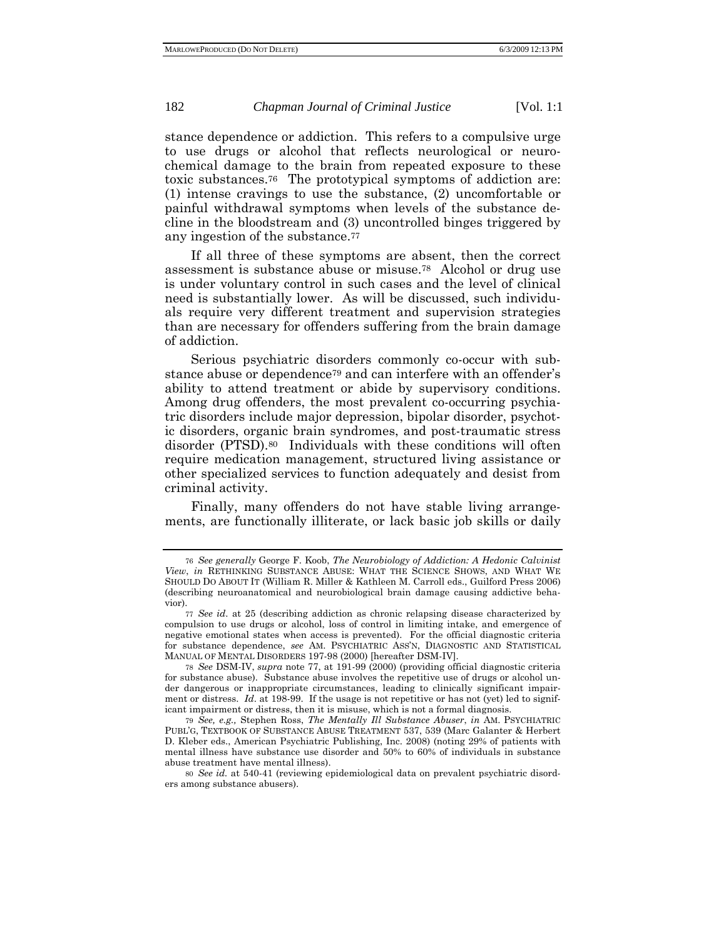stance dependence or addiction. This refers to a compulsive urge to use drugs or alcohol that reflects neurological or neurochemical damage to the brain from repeated exposure to these toxic substances.76 The prototypical symptoms of addiction are: (1) intense cravings to use the substance, (2) uncomfortable or painful withdrawal symptoms when levels of the substance decline in the bloodstream and (3) uncontrolled binges triggered by any ingestion of the substance.77

If all three of these symptoms are absent, then the correct assessment is substance abuse or misuse.78 Alcohol or drug use is under voluntary control in such cases and the level of clinical need is substantially lower. As will be discussed, such individuals require very different treatment and supervision strategies than are necessary for offenders suffering from the brain damage of addiction.

Serious psychiatric disorders commonly co-occur with substance abuse or dependence79 and can interfere with an offender's ability to attend treatment or abide by supervisory conditions. Among drug offenders, the most prevalent co-occurring psychiatric disorders include major depression, bipolar disorder, psychotic disorders, organic brain syndromes, and post-traumatic stress disorder (PTSD).80 Individuals with these conditions will often require medication management, structured living assistance or other specialized services to function adequately and desist from criminal activity.

Finally, many offenders do not have stable living arrangements, are functionally illiterate, or lack basic job skills or daily

<sup>76</sup> *See generally* George F. Koob, *The Neurobiology of Addiction: A Hedonic Calvinist View*, *in* RETHINKING SUBSTANCE ABUSE: WHAT THE SCIENCE SHOWS, AND WHAT WE SHOULD DO ABOUT IT (William R. Miller & Kathleen M. Carroll eds., Guilford Press 2006) (describing neuroanatomical and neurobiological brain damage causing addictive behavior).

<sup>77</sup> *See id*. at 25 (describing addiction as chronic relapsing disease characterized by compulsion to use drugs or alcohol, loss of control in limiting intake, and emergence of negative emotional states when access is prevented). For the official diagnostic criteria for substance dependence, *see* AM. PSYCHIATRIC ASS'N, DIAGNOSTIC AND STATISTICAL MANUAL OF MENTAL DISORDERS 197-98 (2000) [hereafter DSM-IV].

<sup>78</sup> *See* DSM-IV, *supra* note 77, at 191-99 (2000) (providing official diagnostic criteria for substance abuse). Substance abuse involves the repetitive use of drugs or alcohol under dangerous or inappropriate circumstances, leading to clinically significant impairment or distress. *Id*. at 198-99. If the usage is not repetitive or has not (yet) led to significant impairment or distress, then it is misuse, which is not a formal diagnosis.

<sup>79</sup> *See, e.g.,* Stephen Ross, *The Mentally Ill Substance Abuser*, *in* AM. PSYCHIATRIC PUBL'G, TEXTBOOK OF SUBSTANCE ABUSE TREATMENT 537, 539 (Marc Galanter & Herbert D. Kleber eds., American Psychiatric Publishing, Inc. 2008) (noting 29% of patients with mental illness have substance use disorder and 50% to 60% of individuals in substance abuse treatment have mental illness).

<sup>80</sup> *See id.* at 540-41 (reviewing epidemiological data on prevalent psychiatric disorders among substance abusers).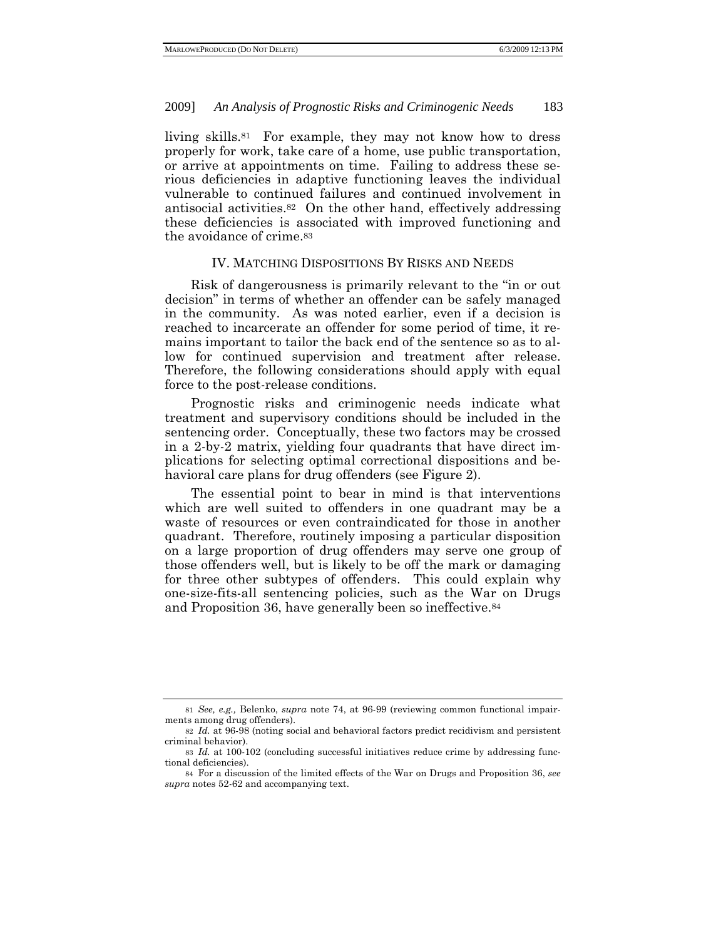living skills.81 For example, they may not know how to dress properly for work, take care of a home, use public transportation, or arrive at appointments on time. Failing to address these serious deficiencies in adaptive functioning leaves the individual vulnerable to continued failures and continued involvement in antisocial activities.82 On the other hand, effectively addressing these deficiencies is associated with improved functioning and the avoidance of crime.83

## IV. MATCHING DISPOSITIONS BY RISKS AND NEEDS

Risk of dangerousness is primarily relevant to the "in or out decision" in terms of whether an offender can be safely managed in the community. As was noted earlier, even if a decision is reached to incarcerate an offender for some period of time, it remains important to tailor the back end of the sentence so as to allow for continued supervision and treatment after release. Therefore, the following considerations should apply with equal force to the post-release conditions.

Prognostic risks and criminogenic needs indicate what treatment and supervisory conditions should be included in the sentencing order. Conceptually, these two factors may be crossed in a 2-by-2 matrix, yielding four quadrants that have direct implications for selecting optimal correctional dispositions and behavioral care plans for drug offenders (see Figure 2).

The essential point to bear in mind is that interventions which are well suited to offenders in one quadrant may be a waste of resources or even contraindicated for those in another quadrant. Therefore, routinely imposing a particular disposition on a large proportion of drug offenders may serve one group of those offenders well, but is likely to be off the mark or damaging for three other subtypes of offenders. This could explain why one-size-fits-all sentencing policies, such as the War on Drugs and Proposition 36, have generally been so ineffective.84

<sup>81</sup> *See, e.g.,* Belenko, *supra* note 74, at 96-99 (reviewing common functional impairments among drug offenders).

<sup>82</sup> *Id.* at 96-98 (noting social and behavioral factors predict recidivism and persistent criminal behavior).

<sup>83</sup> *Id.* at 100-102 (concluding successful initiatives reduce crime by addressing functional deficiencies).

<sup>84</sup> For a discussion of the limited effects of the War on Drugs and Proposition 36, *see supra* notes 52-62 and accompanying text.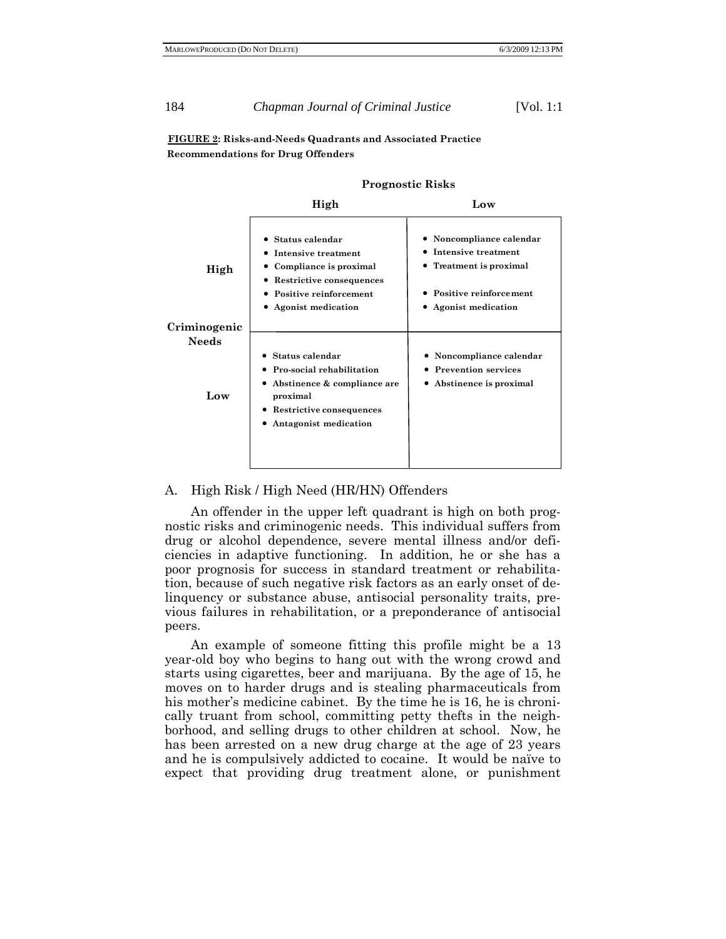**FIGURE 2: Risks-and-Needs Quadrants and Associated Practice Recommendations for Drug Offenders**

|                              | High                                                                                                                                                                   | Low                                                                                                                                 |
|------------------------------|------------------------------------------------------------------------------------------------------------------------------------------------------------------------|-------------------------------------------------------------------------------------------------------------------------------------|
| High                         | • Status calendar<br>Intensive treatment<br>Compliance is proximal<br>Restrictive consequences<br>$\bullet$<br>• Positive reinforcement<br>• Agonist medication        | • Noncompliance calendar<br>Intensive treatment<br>٠<br>• Treatment is proximal<br>• Positive reinforcement<br>• Agonist medication |
| Criminogenic<br><b>Needs</b> |                                                                                                                                                                        |                                                                                                                                     |
| Low                          | Status calendar<br>Pro-social rehabilitation<br>Abstinence & compliance are<br>$\bullet$<br>proximal<br>Restrictive consequences<br>$\bullet$<br>Antagonist medication | Noncompliance calendar<br><b>Prevention services</b><br>• Abstinence is proximal                                                    |
|                              |                                                                                                                                                                        |                                                                                                                                     |

**Prognostic Risks**

#### A. High Risk / High Need (HR/HN) Offenders

An offender in the upper left quadrant is high on both prognostic risks and criminogenic needs. This individual suffers from drug or alcohol dependence, severe mental illness and/or deficiencies in adaptive functioning. In addition, he or she has a poor prognosis for success in standard treatment or rehabilitation, because of such negative risk factors as an early onset of delinquency or substance abuse, antisocial personality traits, previous failures in rehabilitation, or a preponderance of antisocial peers.

An example of someone fitting this profile might be a 13 year-old boy who begins to hang out with the wrong crowd and starts using cigarettes, beer and marijuana. By the age of 15, he moves on to harder drugs and is stealing pharmaceuticals from his mother's medicine cabinet. By the time he is 16, he is chronically truant from school, committing petty thefts in the neighborhood, and selling drugs to other children at school. Now, he has been arrested on a new drug charge at the age of 23 years and he is compulsively addicted to cocaine. It would be naïve to expect that providing drug treatment alone, or punishment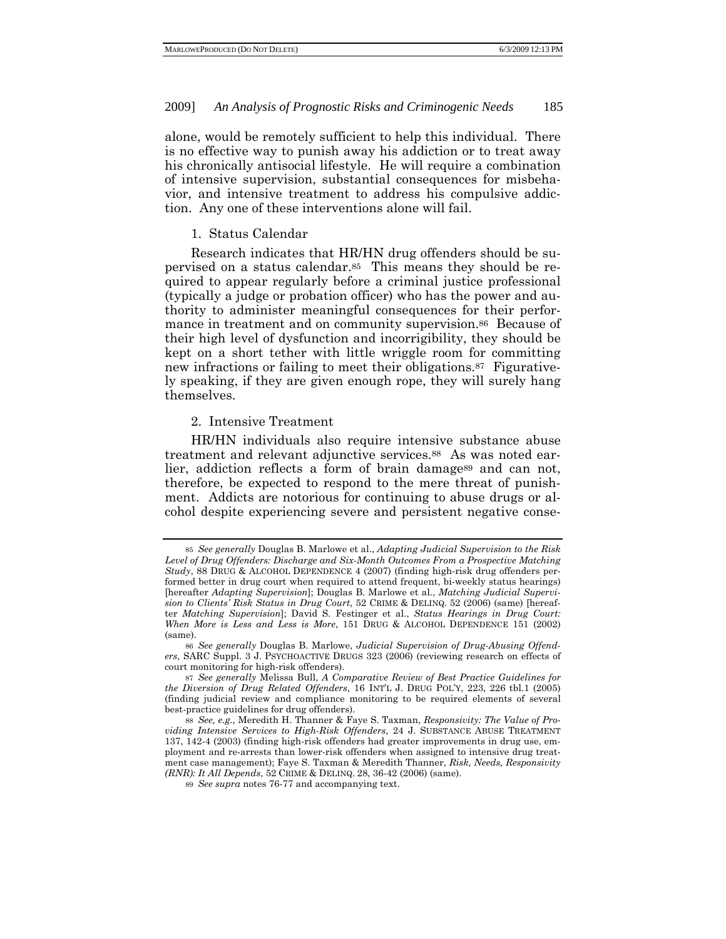alone, would be remotely sufficient to help this individual. There is no effective way to punish away his addiction or to treat away his chronically antisocial lifestyle. He will require a combination of intensive supervision, substantial consequences for misbehavior, and intensive treatment to address his compulsive addiction. Any one of these interventions alone will fail.

1. Status Calendar

Research indicates that HR/HN drug offenders should be supervised on a status calendar.85 This means they should be required to appear regularly before a criminal justice professional (typically a judge or probation officer) who has the power and authority to administer meaningful consequences for their performance in treatment and on community supervision.<sup>86</sup> Because of their high level of dysfunction and incorrigibility, they should be kept on a short tether with little wriggle room for committing new infractions or failing to meet their obligations.<sup>87</sup> Figuratively speaking, if they are given enough rope, they will surely hang themselves.

# 2. Intensive Treatment

HR/HN individuals also require intensive substance abuse treatment and relevant adjunctive services.88 As was noted earlier, addiction reflects a form of brain damage<sup>89</sup> and can not, therefore, be expected to respond to the mere threat of punishment. Addicts are notorious for continuing to abuse drugs or alcohol despite experiencing severe and persistent negative conse-

<sup>85</sup> *See generally* Douglas B. Marlowe et al., *Adapting Judicial Supervision to the Risk Level of Drug Offenders: Discharge and Six-Month Outcomes From a Prospective Matching Study*, 88 DRUG & ALCOHOL DEPENDENCE 4 (2007) (finding high-risk drug offenders performed better in drug court when required to attend frequent, bi-weekly status hearings) [hereafter *Adapting Supervision*]; Douglas B. Marlowe et al., *Matching Judicial Supervision to Clients' Risk Status in Drug Court*, 52 CRIME & DELINQ. 52 (2006) (same) [hereafter *Matching Supervision*]; David S. Festinger et al., *Status Hearings in Drug Court: When More is Less and Less is More*, 151 DRUG & ALCOHOL DEPENDENCE 151 (2002) (same).

<sup>86</sup> *See generally* Douglas B. Marlowe, *Judicial Supervision of Drug-Abusing Offenders*, SARC Suppl. 3 J. PSYCHOACTIVE DRUGS 323 (2006) (reviewing research on effects of court monitoring for high-risk offenders).

<sup>87</sup> *See generally* Melissa Bull, *A Comparative Review of Best Practice Guidelines for the Diversion of Drug Related Offenders*, 16 INT'L J. DRUG POL'Y, 223, 226 tbl.1 (2005) (finding judicial review and compliance monitoring to be required elements of several best-practice guidelines for drug offenders).

<sup>88</sup> *See, e.g.,* Meredith H. Thanner & Faye S. Taxman, *Responsivity: The Value of Providing Intensive Services to High-Risk Offenders*, 24 J. SUBSTANCE ABUSE TREATMENT 137, 142-4 (2003) (finding high-risk offenders had greater improvements in drug use, employment and re-arrests than lower-risk offenders when assigned to intensive drug treatment case management); Faye S. Taxman & Meredith Thanner, *Risk, Needs, Responsivity (RNR): It All Depends*, 52 CRIME & DELINQ. 28, 36-42 (2006) (same).

<sup>89</sup> *See supra* notes 76-77 and accompanying text.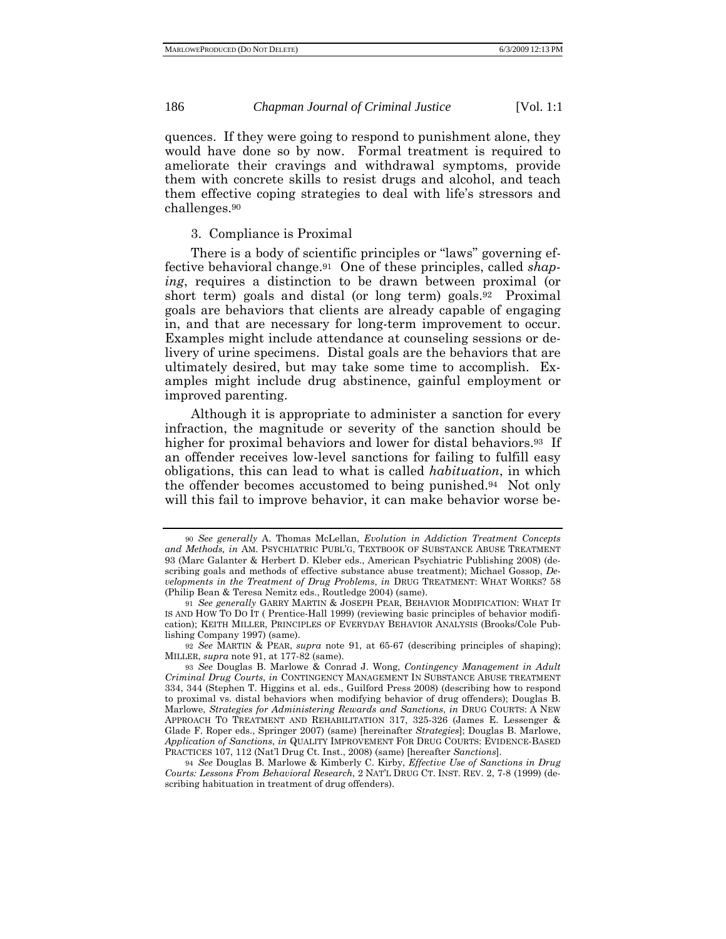quences. If they were going to respond to punishment alone, they would have done so by now. Formal treatment is required to ameliorate their cravings and withdrawal symptoms, provide them with concrete skills to resist drugs and alcohol, and teach them effective coping strategies to deal with life's stressors and challenges.90

# 3. Compliance is Proximal

There is a body of scientific principles or "laws" governing effective behavioral change.91 One of these principles, called *shaping*, requires a distinction to be drawn between proximal (or short term) goals and distal (or long term) goals.<sup>92</sup> Proximal goals are behaviors that clients are already capable of engaging in, and that are necessary for long-term improvement to occur. Examples might include attendance at counseling sessions or delivery of urine specimens. Distal goals are the behaviors that are ultimately desired, but may take some time to accomplish. Examples might include drug abstinence, gainful employment or improved parenting.

Although it is appropriate to administer a sanction for every infraction, the magnitude or severity of the sanction should be higher for proximal behaviors and lower for distal behaviors.<sup>93</sup> If an offender receives low-level sanctions for failing to fulfill easy obligations, this can lead to what is called *habituation*, in which the offender becomes accustomed to being punished.94 Not only will this fail to improve behavior, it can make behavior worse be-

<sup>90</sup> *See generally* A. Thomas McLellan, *Evolution in Addiction Treatment Concepts and Methods, in* AM. PSYCHIATRIC PUBL'G, TEXTBOOK OF SUBSTANCE ABUSE TREATMENT 93 (Marc Galanter & Herbert D. Kleber eds., American Psychiatric Publishing 2008) (describing goals and methods of effective substance abuse treatment); Michael Gossop, *Developments in the Treatment of Drug Problems*, *in* DRUG TREATMENT: WHAT WORKS? 58 (Philip Bean & Teresa Nemitz eds., Routledge 2004) (same).

<sup>91</sup> *See generally* GARRY MARTIN & JOSEPH PEAR, BEHAVIOR MODIFICATION: WHAT IT IS AND HOW TO DO IT ( Prentice-Hall 1999) (reviewing basic principles of behavior modification); KEITH MILLER, PRINCIPLES OF EVERYDAY BEHAVIOR ANALYSIS (Brooks/Cole Publishing Company 1997) (same).

<sup>92</sup> *See* MARTIN & PEAR, *supra* note 91, at 65-67 (describing principles of shaping); MILLER, *supra* note 91, at 177-82 (same).

<sup>93</sup> *See* Douglas B. Marlowe & Conrad J. Wong, *Contingency Management in Adult Criminal Drug Courts*, *in* CONTINGENCY MANAGEMENT IN SUBSTANCE ABUSE TREATMENT 334, 344 (Stephen T. Higgins et al. eds., Guilford Press 2008) (describing how to respond to proximal vs. distal behaviors when modifying behavior of drug offenders); Douglas B. Marlowe, *Strategies for Administering Rewards and Sanctions*, *in* DRUG COURTS: A NEW APPROACH TO TREATMENT AND REHABILITATION 317, 325-326 (James E. Lessenger & Glade F. Roper eds., Springer 2007) (same) [hereinafter *Strategies*]; Douglas B. Marlowe, *Application of Sanctions*, *in* QUALITY IMPROVEMENT FOR DRUG COURTS: EVIDENCE-BASED PRACTICES 107, 112 (Nat'l Drug Ct. Inst., 2008) (same) [hereafter *Sanctions*].

<sup>94</sup> *See* Douglas B. Marlowe & Kimberly C. Kirby, *Effective Use of Sanctions in Drug Courts: Lessons From Behavioral Research*, 2 NAT'L DRUG CT. INST. REV. 2, 7-8 (1999) (describing habituation in treatment of drug offenders).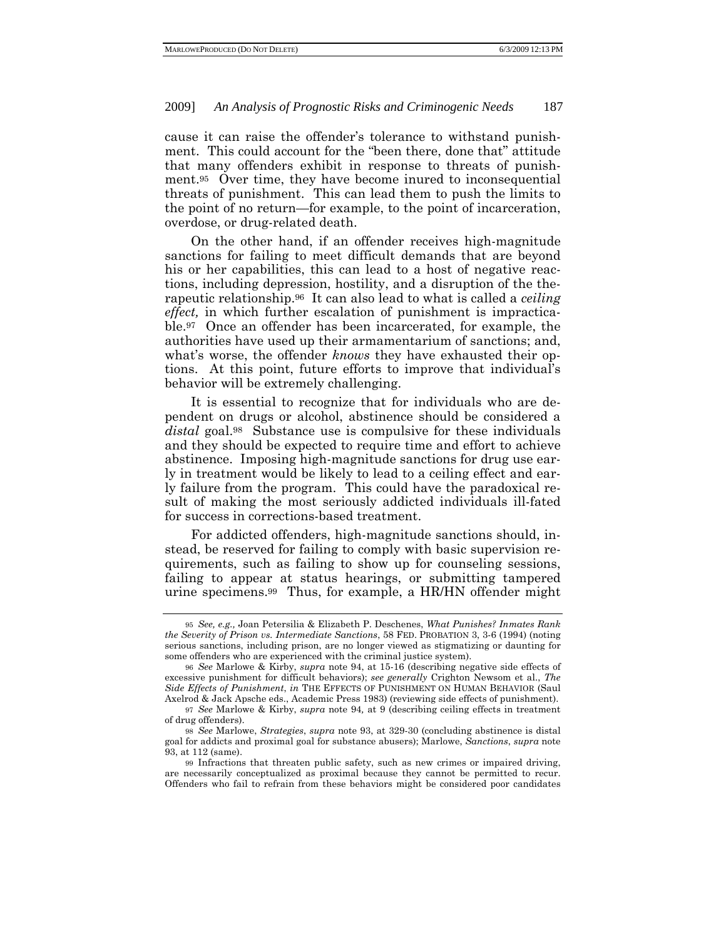cause it can raise the offender's tolerance to withstand punishment. This could account for the "been there, done that" attitude that many offenders exhibit in response to threats of punishment.95 Over time, they have become inured to inconsequential threats of punishment. This can lead them to push the limits to the point of no return—for example, to the point of incarceration, overdose, or drug-related death.

On the other hand, if an offender receives high-magnitude sanctions for failing to meet difficult demands that are beyond his or her capabilities, this can lead to a host of negative reactions, including depression, hostility, and a disruption of the therapeutic relationship.96 It can also lead to what is called a *ceiling effect,* in which further escalation of punishment is impracticable.97 Once an offender has been incarcerated, for example, the authorities have used up their armamentarium of sanctions; and, what's worse, the offender *knows* they have exhausted their options. At this point, future efforts to improve that individual's behavior will be extremely challenging.

It is essential to recognize that for individuals who are dependent on drugs or alcohol, abstinence should be considered a *distal* goal.98 Substance use is compulsive for these individuals and they should be expected to require time and effort to achieve abstinence. Imposing high-magnitude sanctions for drug use early in treatment would be likely to lead to a ceiling effect and early failure from the program. This could have the paradoxical result of making the most seriously addicted individuals ill-fated for success in corrections-based treatment.

For addicted offenders, high-magnitude sanctions should, instead, be reserved for failing to comply with basic supervision requirements, such as failing to show up for counseling sessions, failing to appear at status hearings, or submitting tampered urine specimens.99 Thus, for example, a HR/HN offender might

<sup>95</sup> *See, e.g.,* Joan Petersilia & Elizabeth P. Deschenes, *What Punishes? Inmates Rank the Severity of Prison vs. Intermediate Sanctions*, 58 FED. PROBATION 3, 3-6 (1994) (noting serious sanctions, including prison, are no longer viewed as stigmatizing or daunting for some offenders who are experienced with the criminal justice system).

<sup>96</sup> *See* Marlowe & Kirby, *supra* note 94, at 15-16 (describing negative side effects of excessive punishment for difficult behaviors); *see generally* Crighton Newsom et al., *The Side Effects of Punishment*, *in* THE EFFECTS OF PUNISHMENT ON HUMAN BEHAVIOR (Saul Axelrod & Jack Apsche eds., Academic Press 1983) (reviewing side effects of punishment).

<sup>97</sup> *See* Marlowe & Kirby, *supra* note 94*,* at 9 (describing ceiling effects in treatment of drug offenders).

<sup>98</sup> *See* Marlowe, *Strategies*, *supra* note 93, at 329-30 (concluding abstinence is distal goal for addicts and proximal goal for substance abusers); Marlowe, *Sanctions*, *supra* note 93, at 112 (same).

<sup>99</sup> Infractions that threaten public safety, such as new crimes or impaired driving, are necessarily conceptualized as proximal because they cannot be permitted to recur. Offenders who fail to refrain from these behaviors might be considered poor candidates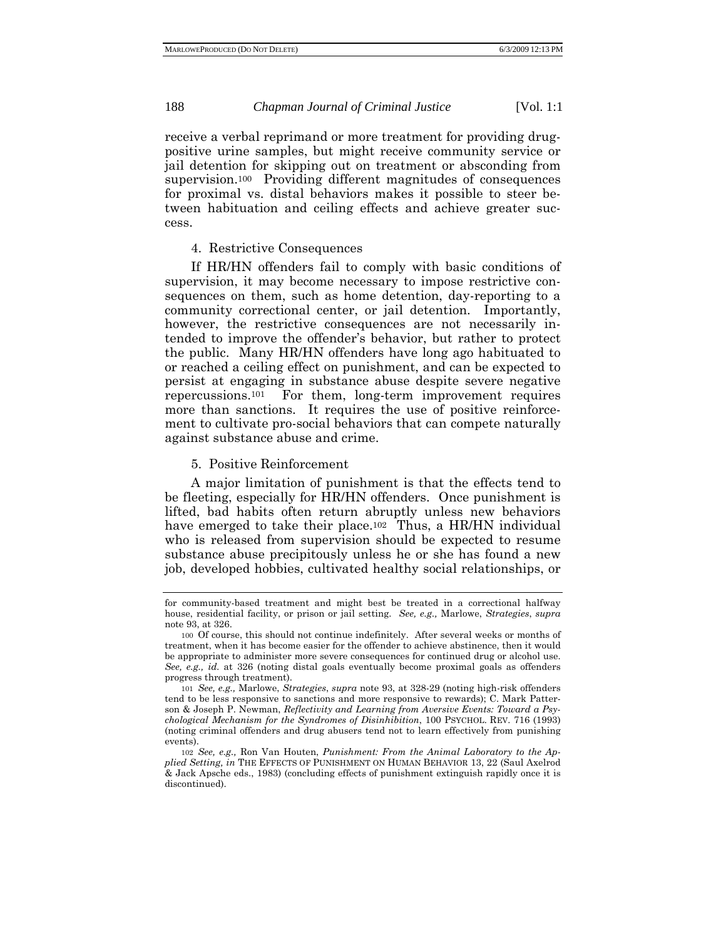receive a verbal reprimand or more treatment for providing drugpositive urine samples, but might receive community service or jail detention for skipping out on treatment or absconding from supervision.100 Providing different magnitudes of consequences for proximal vs. distal behaviors makes it possible to steer between habituation and ceiling effects and achieve greater success.

# 4. Restrictive Consequences

If HR/HN offenders fail to comply with basic conditions of supervision, it may become necessary to impose restrictive consequences on them, such as home detention, day-reporting to a community correctional center, or jail detention. Importantly, however, the restrictive consequences are not necessarily intended to improve the offender's behavior, but rather to protect the public. Many HR/HN offenders have long ago habituated to or reached a ceiling effect on punishment, and can be expected to persist at engaging in substance abuse despite severe negative repercussions.101 For them, long-term improvement requires more than sanctions. It requires the use of positive reinforcement to cultivate pro-social behaviors that can compete naturally against substance abuse and crime.

## 5. Positive Reinforcement

A major limitation of punishment is that the effects tend to be fleeting, especially for HR/HN offenders. Once punishment is lifted, bad habits often return abruptly unless new behaviors have emerged to take their place.<sup>102</sup> Thus, a HR/HN individual who is released from supervision should be expected to resume substance abuse precipitously unless he or she has found a new job, developed hobbies, cultivated healthy social relationships, or

for community-based treatment and might best be treated in a correctional halfway house, residential facility, or prison or jail setting. *See, e.g.,* Marlowe, *Strategies*, *supra*  note 93, at 326.

<sup>100</sup> Of course, this should not continue indefinitely. After several weeks or months of treatment, when it has become easier for the offender to achieve abstinence, then it would be appropriate to administer more severe consequences for continued drug or alcohol use. *See, e.g., id.* at 326 (noting distal goals eventually become proximal goals as offenders progress through treatment).

<sup>101</sup> *See, e.g.,* Marlowe, *Strategies*, *supra* note 93, at 328-29 (noting high-risk offenders tend to be less responsive to sanctions and more responsive to rewards); C. Mark Patterson & Joseph P. Newman, *Reflectivity and Learning from Aversive Events: Toward a Psychological Mechanism for the Syndromes of Disinhibition*, 100 PSYCHOL. REV. 716 (1993) (noting criminal offenders and drug abusers tend not to learn effectively from punishing events).

<sup>102</sup> *See, e.g.,* Ron Van Houten, *Punishment: From the Animal Laboratory to the Applied Setting, in* THE EFFECTS OF PUNISHMENT ON HUMAN BEHAVIOR 13, 22 (Saul Axelrod & Jack Apsche eds., 1983) (concluding effects of punishment extinguish rapidly once it is discontinued).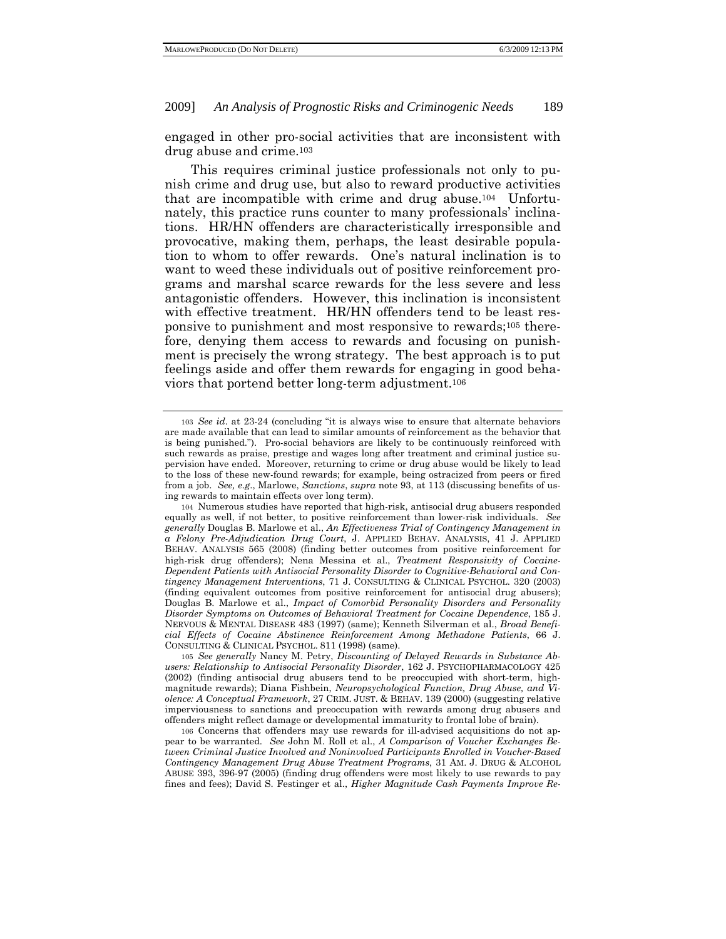engaged in other pro-social activities that are inconsistent with drug abuse and crime.103

This requires criminal justice professionals not only to punish crime and drug use, but also to reward productive activities that are incompatible with crime and drug abuse.104 Unfortunately, this practice runs counter to many professionals' inclinations. HR/HN offenders are characteristically irresponsible and provocative, making them, perhaps, the least desirable population to whom to offer rewards. One's natural inclination is to want to weed these individuals out of positive reinforcement programs and marshal scarce rewards for the less severe and less antagonistic offenders. However, this inclination is inconsistent with effective treatment. HR/HN offenders tend to be least responsive to punishment and most responsive to rewards;105 therefore, denying them access to rewards and focusing on punishment is precisely the wrong strategy. The best approach is to put feelings aside and offer them rewards for engaging in good behaviors that portend better long-term adjustment.106

<sup>103</sup> *See id*. at 23-24 (concluding "it is always wise to ensure that alternate behaviors are made available that can lead to similar amounts of reinforcement as the behavior that is being punished."). Pro-social behaviors are likely to be continuously reinforced with such rewards as praise, prestige and wages long after treatment and criminal justice supervision have ended. Moreover, returning to crime or drug abuse would be likely to lead to the loss of these new-found rewards; for example, being ostracized from peers or fired from a job. *See, e.g*., Marlowe, *Sanctions*, *supra* note 93, at 113 (discussing benefits of using rewards to maintain effects over long term).

<sup>104</sup> Numerous studies have reported that high-risk, antisocial drug abusers responded equally as well, if not better, to positive reinforcement than lower-risk individuals. *See generally* Douglas B. Marlowe et al., *An Effectiveness Trial of Contingency Management in a Felony Pre-Adjudication Drug Court*, J. APPLIED BEHAV. ANALYSIS, 41 J. APPLIED BEHAV. ANALYSIS 565 (2008) (finding better outcomes from positive reinforcement for high-risk drug offenders); Nena Messina et al., *Treatment Responsivity of Cocaine-Dependent Patients with Antisocial Personality Disorder to Cognitive-Behavioral and Contingency Management Interventions*, 71 J. CONSULTING & CLINICAL PSYCHOL. 320 (2003) (finding equivalent outcomes from positive reinforcement for antisocial drug abusers); Douglas B. Marlowe et al., *Impact of Comorbid Personality Disorders and Personality Disorder Symptoms on Outcomes of Behavioral Treatment for Cocaine Dependence*, 185 J. NERVOUS & MENTAL DISEASE 483 (1997) (same); Kenneth Silverman et al., *Broad Beneficial Effects of Cocaine Abstinence Reinforcement Among Methadone Patients*, 66 J. CONSULTING & CLINICAL PSYCHOL. 811 (1998) (same).

<sup>105</sup> *See generally* Nancy M. Petry, *Discounting of Delayed Rewards in Substance Abusers: Relationship to Antisocial Personality Disorder*, 162 J. PSYCHOPHARMACOLOGY 425 (2002) (finding antisocial drug abusers tend to be preoccupied with short-term, highmagnitude rewards); Diana Fishbein, *Neuropsychological Function, Drug Abuse, and Violence: A Conceptual Framework*, 27 CRIM. JUST. & BEHAV. 139 (2000) (suggesting relative imperviousness to sanctions and preoccupation with rewards among drug abusers and offenders might reflect damage or developmental immaturity to frontal lobe of brain).

<sup>106</sup> Concerns that offenders may use rewards for ill-advised acquisitions do not appear to be warranted. *See* John M. Roll et al., *A Comparison of Voucher Exchanges Between Criminal Justice Involved and Noninvolved Participants Enrolled in Voucher-Based Contingency Management Drug Abuse Treatment Programs*, 31 AM. J. DRUG & ALCOHOL ABUSE 393, 396-97 (2005) (finding drug offenders were most likely to use rewards to pay fines and fees); David S. Festinger et al., *Higher Magnitude Cash Payments Improve Re-*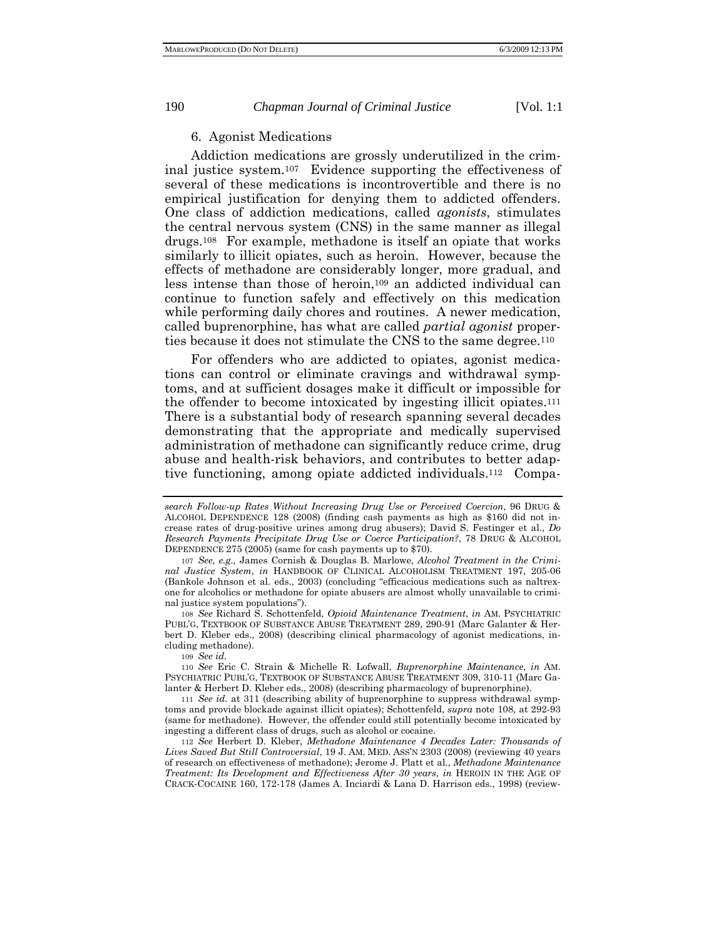# 6. Agonist Medications

Addiction medications are grossly underutilized in the criminal justice system.107 Evidence supporting the effectiveness of several of these medications is incontrovertible and there is no empirical justification for denying them to addicted offenders. One class of addiction medications, called *agonists*, stimulates the central nervous system (CNS) in the same manner as illegal drugs.108 For example, methadone is itself an opiate that works similarly to illicit opiates, such as heroin. However, because the effects of methadone are considerably longer, more gradual, and less intense than those of heroin,109 an addicted individual can continue to function safely and effectively on this medication while performing daily chores and routines. A newer medication, called buprenorphine, has what are called *partial agonist* properties because it does not stimulate the CNS to the same degree.110

For offenders who are addicted to opiates, agonist medications can control or eliminate cravings and withdrawal symptoms, and at sufficient dosages make it difficult or impossible for the offender to become intoxicated by ingesting illicit opiates.111 There is a substantial body of research spanning several decades demonstrating that the appropriate and medically supervised administration of methadone can significantly reduce crime, drug abuse and health-risk behaviors, and contributes to better adaptive functioning, among opiate addicted individuals.112 Compa-

108 *See* Richard S. Schottenfeld, *Opioid Maintenance Treatment*, *in* AM. PSYCHIATRIC PUBL'G, TEXTBOOK OF SUBSTANCE ABUSE TREATMENT 289, 290-91 (Marc Galanter & Herbert D. Kleber eds., 2008) (describing clinical pharmacology of agonist medications, including methadone).

109 *See id.*

110 *See* Eric C. Strain & Michelle R. Lofwall, *Buprenorphine Maintenance*, *in* AM. PSYCHIATRIC PUBL'G, TEXTBOOK OF SUBSTANCE ABUSE TREATMENT 309, 310-11 (Marc Galanter & Herbert D. Kleber eds., 2008) (describing pharmacology of buprenorphine).

111 *See id.* at 311 (describing ability of buprenorphine to suppress withdrawal symptoms and provide blockade against illicit opiates); Schottenfeld, *supra* note 108*,* at 292-93 (same for methadone). However, the offender could still potentially become intoxicated by ingesting a different class of drugs, such as alcohol or cocaine.

112 *See* Herbert D. Kleber, *Methadone Maintenance 4 Decades Later: Thousands of Lives Saved But Still Controversial*, 19 J. AM. MED. ASS'N 2303 (2008) (reviewing 40 years of research on effectiveness of methadone); Jerome J. Platt et al., *Methadone Maintenance Treatment: Its Development and Effectiveness After 30 years*, *in* HEROIN IN THE AGE OF CRACK-COCAINE 160, 172-178 (James A. Inciardi & Lana D. Harrison eds., 1998) (review-

*search Follow-up Rates Without Increasing Drug Use or Perceived Coercion*, 96 DRUG & ALCOHOL DEPENDENCE 128 (2008) (finding cash payments as high as \$160 did not increase rates of drug-positive urines among drug abusers); David S. Festinger et al., *Do Research Payments Precipitate Drug Use or Coerce Participation?*, 78 DRUG & ALCOHOL DEPENDENCE 275 (2005) (same for cash payments up to \$70).

<sup>107</sup> *See, e.g.,* James Cornish & Douglas B. Marlowe, *Alcohol Treatment in the Criminal Justice System*, *in* HANDBOOK OF CLINICAL ALCOHOLISM TREATMENT 197, 205-06 (Bankole Johnson et al. eds., 2003) (concluding "efficacious medications such as naltrexone for alcoholics or methadone for opiate abusers are almost wholly unavailable to criminal justice system populations").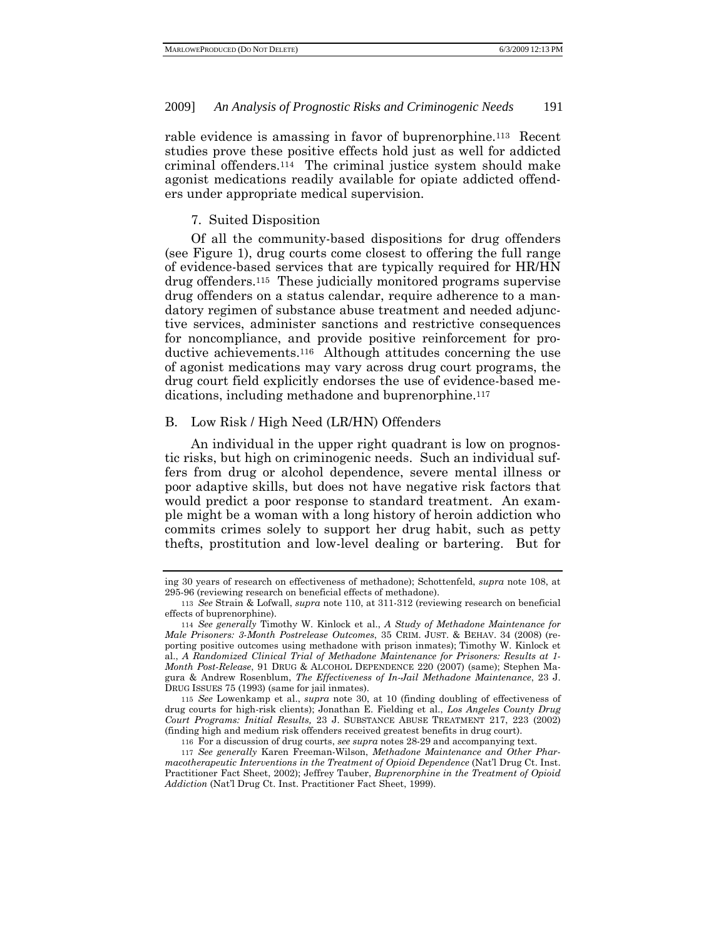rable evidence is amassing in favor of buprenorphine.113 Recent studies prove these positive effects hold just as well for addicted criminal offenders.114 The criminal justice system should make agonist medications readily available for opiate addicted offenders under appropriate medical supervision.

# 7. Suited Disposition

Of all the community-based dispositions for drug offenders (see Figure 1), drug courts come closest to offering the full range of evidence-based services that are typically required for HR/HN drug offenders.115 These judicially monitored programs supervise drug offenders on a status calendar, require adherence to a mandatory regimen of substance abuse treatment and needed adjunctive services, administer sanctions and restrictive consequences for noncompliance, and provide positive reinforcement for productive achievements.116 Although attitudes concerning the use of agonist medications may vary across drug court programs, the drug court field explicitly endorses the use of evidence-based medications, including methadone and buprenorphine.<sup>117</sup>

## B. Low Risk / High Need (LR/HN) Offenders

An individual in the upper right quadrant is low on prognostic risks, but high on criminogenic needs. Such an individual suffers from drug or alcohol dependence, severe mental illness or poor adaptive skills, but does not have negative risk factors that would predict a poor response to standard treatment. An example might be a woman with a long history of heroin addiction who commits crimes solely to support her drug habit, such as petty thefts, prostitution and low-level dealing or bartering. But for

115 *See* Lowenkamp et al., *supra* note 30, at 10 (finding doubling of effectiveness of drug courts for high-risk clients); Jonathan E. Fielding et al., *Los Angeles County Drug Court Programs: Initial Results,* 23 J. SUBSTANCE ABUSE TREATMENT 217, 223 (2002) (finding high and medium risk offenders received greatest benefits in drug court).

116 For a discussion of drug courts, *see supra* notes 28-29 and accompanying text.

117 *See generally* Karen Freeman-Wilson, *Methadone Maintenance and Other Pharmacotherapeutic Interventions in the Treatment of Opioid Dependence* (Nat'l Drug Ct. Inst. Practitioner Fact Sheet, 2002); Jeffrey Tauber, *Buprenorphine in the Treatment of Opioid Addiction* (Nat'l Drug Ct. Inst. Practitioner Fact Sheet, 1999).

ing 30 years of research on effectiveness of methadone); Schottenfeld, *supra* note 108, at 295-96 (reviewing research on beneficial effects of methadone).

<sup>113</sup> *See* Strain & Lofwall, *supra* note 110, at 311-312 (reviewing research on beneficial effects of buprenorphine).

<sup>114</sup> *See generally* Timothy W. Kinlock et al., *A Study of Methadone Maintenance for Male Prisoners: 3-Month Postrelease Outcomes*, 35 CRIM. JUST. & BEHAV. 34 (2008) (reporting positive outcomes using methadone with prison inmates); Timothy W. Kinlock et al., *A Randomized Clinical Trial of Methadone Maintenance for Prisoners: Results at 1- Month Post-Release*, 91 DRUG & ALCOHOL DEPENDENCE 220 (2007) (same); Stephen Magura & Andrew Rosenblum, *The Effectiveness of In-Jail Methadone Maintenance*, 23 J. DRUG ISSUES 75 (1993) (same for jail inmates).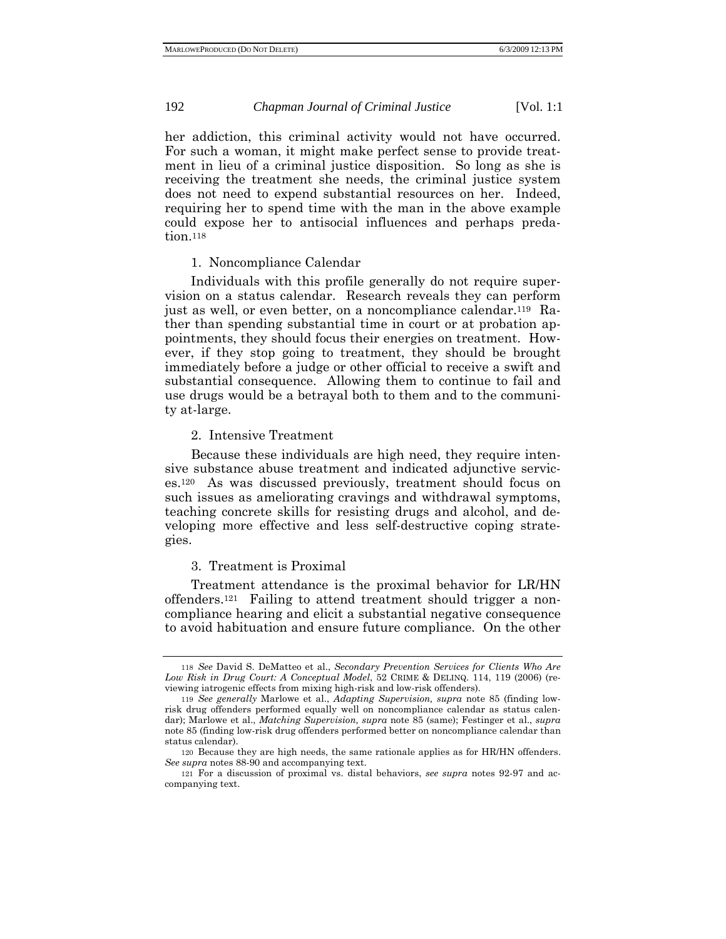her addiction, this criminal activity would not have occurred. For such a woman, it might make perfect sense to provide treatment in lieu of a criminal justice disposition. So long as she is receiving the treatment she needs, the criminal justice system does not need to expend substantial resources on her. Indeed, requiring her to spend time with the man in the above example could expose her to antisocial influences and perhaps predation.118

## 1. Noncompliance Calendar

Individuals with this profile generally do not require supervision on a status calendar. Research reveals they can perform just as well, or even better, on a noncompliance calendar.119 Rather than spending substantial time in court or at probation appointments, they should focus their energies on treatment. However, if they stop going to treatment, they should be brought immediately before a judge or other official to receive a swift and substantial consequence. Allowing them to continue to fail and use drugs would be a betrayal both to them and to the community at-large.

## 2. Intensive Treatment

Because these individuals are high need, they require intensive substance abuse treatment and indicated adjunctive services.120 As was discussed previously, treatment should focus on such issues as ameliorating cravings and withdrawal symptoms, teaching concrete skills for resisting drugs and alcohol, and developing more effective and less self-destructive coping strategies.

## 3. Treatment is Proximal

Treatment attendance is the proximal behavior for LR/HN offenders.121 Failing to attend treatment should trigger a noncompliance hearing and elicit a substantial negative consequence to avoid habituation and ensure future compliance. On the other

<sup>118</sup> *See* David S. DeMatteo et al., *Secondary Prevention Services for Clients Who Are Low Risk in Drug Court: A Conceptual Model*, 52 CRIME & DELINQ. 114, 119 (2006) (reviewing iatrogenic effects from mixing high-risk and low-risk offenders).

<sup>119</sup> *See generally* Marlowe et al., *Adapting Supervision, supra* note 85 (finding lowrisk drug offenders performed equally well on noncompliance calendar as status calendar); Marlowe et al., *Matching Supervision, supra* note 85 (same); Festinger et al., *supra* note 85 (finding low-risk drug offenders performed better on noncompliance calendar than status calendar).

<sup>120</sup> Because they are high needs, the same rationale applies as for HR/HN offenders. *See supra* notes 88-90 and accompanying text.

<sup>121</sup> For a discussion of proximal vs. distal behaviors, *see supra* notes 92-97 and accompanying text.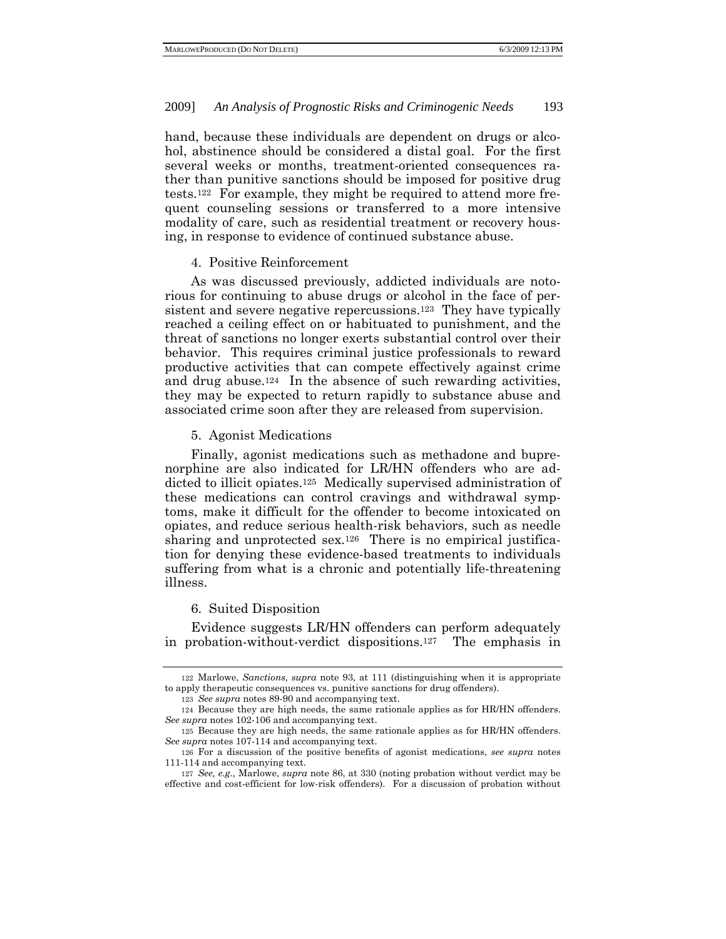hand, because these individuals are dependent on drugs or alcohol, abstinence should be considered a distal goal. For the first several weeks or months, treatment-oriented consequences rather than punitive sanctions should be imposed for positive drug tests.122 For example, they might be required to attend more frequent counseling sessions or transferred to a more intensive modality of care, such as residential treatment or recovery housing, in response to evidence of continued substance abuse.

#### 4. Positive Reinforcement

As was discussed previously, addicted individuals are notorious for continuing to abuse drugs or alcohol in the face of persistent and severe negative repercussions.123 They have typically reached a ceiling effect on or habituated to punishment, and the threat of sanctions no longer exerts substantial control over their behavior. This requires criminal justice professionals to reward productive activities that can compete effectively against crime and drug abuse.124 In the absence of such rewarding activities, they may be expected to return rapidly to substance abuse and associated crime soon after they are released from supervision.

#### 5. Agonist Medications

Finally, agonist medications such as methadone and buprenorphine are also indicated for LR/HN offenders who are addicted to illicit opiates.125 Medically supervised administration of these medications can control cravings and withdrawal symptoms, make it difficult for the offender to become intoxicated on opiates, and reduce serious health-risk behaviors, such as needle sharing and unprotected sex.<sup>126</sup> There is no empirical justification for denying these evidence-based treatments to individuals suffering from what is a chronic and potentially life-threatening illness.

## 6. Suited Disposition

Evidence suggests LR/HN offenders can perform adequately in probation-without-verdict dispositions.127 The emphasis in

<sup>122</sup> Marlowe, *Sanctions, supra* note 93, at 111 (distinguishing when it is appropriate to apply therapeutic consequences vs. punitive sanctions for drug offenders).

<sup>123</sup> *See supra* notes 89-90 and accompanying text.

<sup>124</sup> Because they are high needs, the same rationale applies as for HR/HN offenders. *See supra* notes 102-106 and accompanying text.

<sup>125</sup> Because they are high needs, the same rationale applies as for HR/HN offenders. *See supra* notes 107-114 and accompanying text.

<sup>126</sup> For a discussion of the positive benefits of agonist medications, *see supra* notes 111-114 and accompanying text.

<sup>127</sup> *See, e.g.,* Marlowe, *supra* note 86, at 330 (noting probation without verdict may be effective and cost-efficient for low-risk offenders). For a discussion of probation without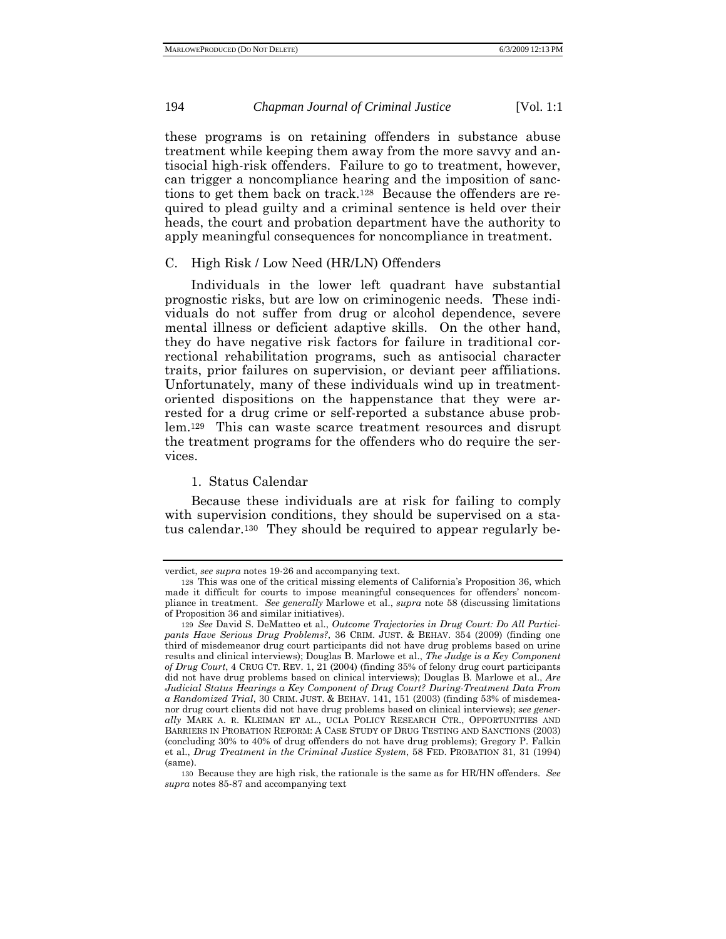these programs is on retaining offenders in substance abuse treatment while keeping them away from the more savvy and antisocial high-risk offenders. Failure to go to treatment, however, can trigger a noncompliance hearing and the imposition of sanctions to get them back on track.128 Because the offenders are required to plead guilty and a criminal sentence is held over their heads, the court and probation department have the authority to apply meaningful consequences for noncompliance in treatment.

# C. High Risk / Low Need (HR/LN) Offenders

Individuals in the lower left quadrant have substantial prognostic risks, but are low on criminogenic needs. These individuals do not suffer from drug or alcohol dependence, severe mental illness or deficient adaptive skills. On the other hand, they do have negative risk factors for failure in traditional correctional rehabilitation programs, such as antisocial character traits, prior failures on supervision, or deviant peer affiliations. Unfortunately, many of these individuals wind up in treatmentoriented dispositions on the happenstance that they were arrested for a drug crime or self-reported a substance abuse problem.129 This can waste scarce treatment resources and disrupt the treatment programs for the offenders who do require the services.

## 1. Status Calendar

Because these individuals are at risk for failing to comply with supervision conditions, they should be supervised on a status calendar.130 They should be required to appear regularly be-

verdict, *see supra* notes 19-26 and accompanying text.

<sup>128</sup> This was one of the critical missing elements of California's Proposition 36, which made it difficult for courts to impose meaningful consequences for offenders' noncompliance in treatment. *See generally* Marlowe et al., *supra* note 58 (discussing limitations of Proposition 36 and similar initiatives).

<sup>129</sup> *See* David S. DeMatteo et al., *Outcome Trajectories in Drug Court: Do All Participants Have Serious Drug Problems?*, 36 CRIM. JUST. & BEHAV. 354 (2009) (finding one third of misdemeanor drug court participants did not have drug problems based on urine results and clinical interviews); Douglas B. Marlowe et al., *The Judge is a Key Component of Drug Court*, 4 CRUG CT. REV. 1, 21 (2004) (finding 35% of felony drug court participants did not have drug problems based on clinical interviews); Douglas B. Marlowe et al., *Are Judicial Status Hearings a Key Component of Drug Court? During-Treatment Data From a Randomized Trial*, 30 CRIM. JUST. & BEHAV. 141, 151 (2003) (finding 53% of misdemeanor drug court clients did not have drug problems based on clinical interviews); *see generally* MARK A. R. KLEIMAN ET AL., UCLA POLICY RESEARCH CTR., OPPORTUNITIES AND BARRIERS IN PROBATION REFORM: A CASE STUDY OF DRUG TESTING AND SANCTIONS (2003) (concluding 30% to 40% of drug offenders do not have drug problems); Gregory P. Falkin et al., *Drug Treatment in the Criminal Justice System*, 58 FED. PROBATION 31, 31 (1994) (same).

<sup>130</sup> Because they are high risk, the rationale is the same as for HR/HN offenders. *See supra* notes 85-87 and accompanying text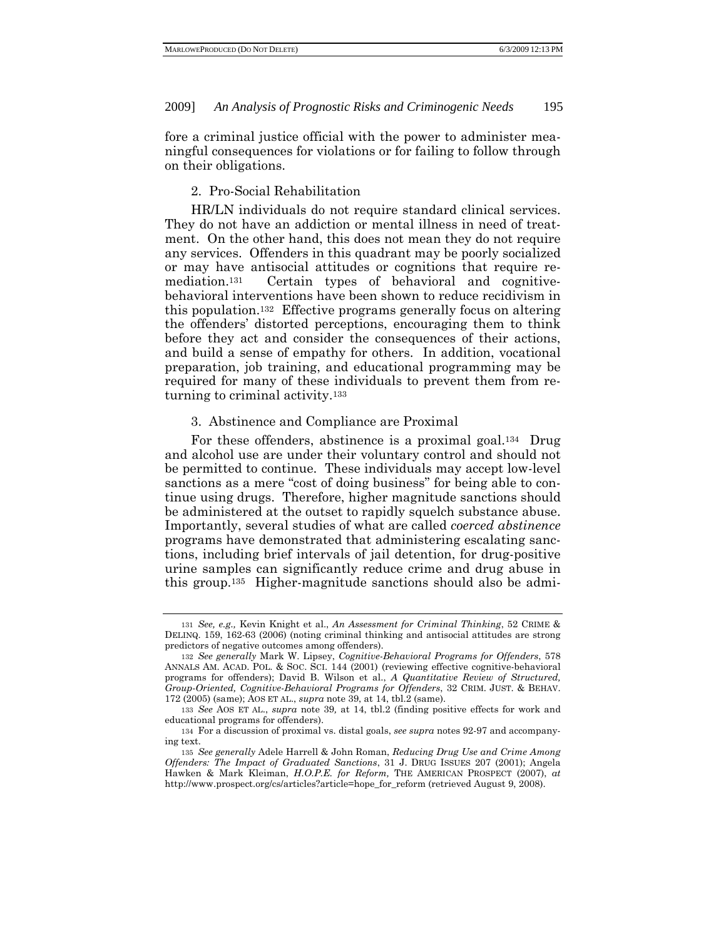fore a criminal justice official with the power to administer meaningful consequences for violations or for failing to follow through on their obligations.

#### 2. Pro-Social Rehabilitation

HR/LN individuals do not require standard clinical services. They do not have an addiction or mental illness in need of treatment. On the other hand, this does not mean they do not require any services. Offenders in this quadrant may be poorly socialized or may have antisocial attitudes or cognitions that require remediation.131 Certain types of behavioral and cognitivebehavioral interventions have been shown to reduce recidivism in this population.132 Effective programs generally focus on altering the offenders' distorted perceptions, encouraging them to think before they act and consider the consequences of their actions, and build a sense of empathy for others. In addition, vocational preparation, job training, and educational programming may be required for many of these individuals to prevent them from returning to criminal activity.133

#### 3. Abstinence and Compliance are Proximal

For these offenders, abstinence is a proximal goal.<sup>134</sup> Drug and alcohol use are under their voluntary control and should not be permitted to continue. These individuals may accept low-level sanctions as a mere "cost of doing business" for being able to continue using drugs. Therefore, higher magnitude sanctions should be administered at the outset to rapidly squelch substance abuse. Importantly, several studies of what are called *coerced abstinence* programs have demonstrated that administering escalating sanctions, including brief intervals of jail detention, for drug-positive urine samples can significantly reduce crime and drug abuse in this group.135 Higher-magnitude sanctions should also be admi-

<sup>131</sup> *See, e.g.,* Kevin Knight et al., *An Assessment for Criminal Thinking*, 52 CRIME & DELINQ. 159, 162-63 (2006) (noting criminal thinking and antisocial attitudes are strong predictors of negative outcomes among offenders).

<sup>132</sup> *See generally* Mark W. Lipsey, *Cognitive-Behavioral Programs for Offenders*, 578 ANNALS AM. ACAD. POL. & SOC. SCI. 144 (2001) (reviewing effective cognitive-behavioral programs for offenders); David B. Wilson et al., *A Quantitative Review of Structured, Group-Oriented, Cognitive-Behavioral Programs for Offenders*, 32 CRIM. JUST. & BEHAV. 172 (2005) (same); AOS ET AL., *supra* note 39, at 14, tbl.2 (same).

<sup>133</sup> *See* AOS ET AL., *supra* note 39*,* at 14, tbl.2 (finding positive effects for work and educational programs for offenders).

<sup>134</sup> For a discussion of proximal vs. distal goals, *see supra* notes 92-97 and accompanying text.

<sup>135</sup> *See generally* Adele Harrell & John Roman, *Reducing Drug Use and Crime Among Offenders: The Impact of Graduated Sanctions*, 31 J. DRUG ISSUES 207 (2001); Angela Hawken & Mark Kleiman, *H.O.P.E. for Reform,* THE AMERICAN PROSPECT (2007), *at* http://www.prospect.org/cs/articles?article=hope\_for\_reform (retrieved August 9, 2008).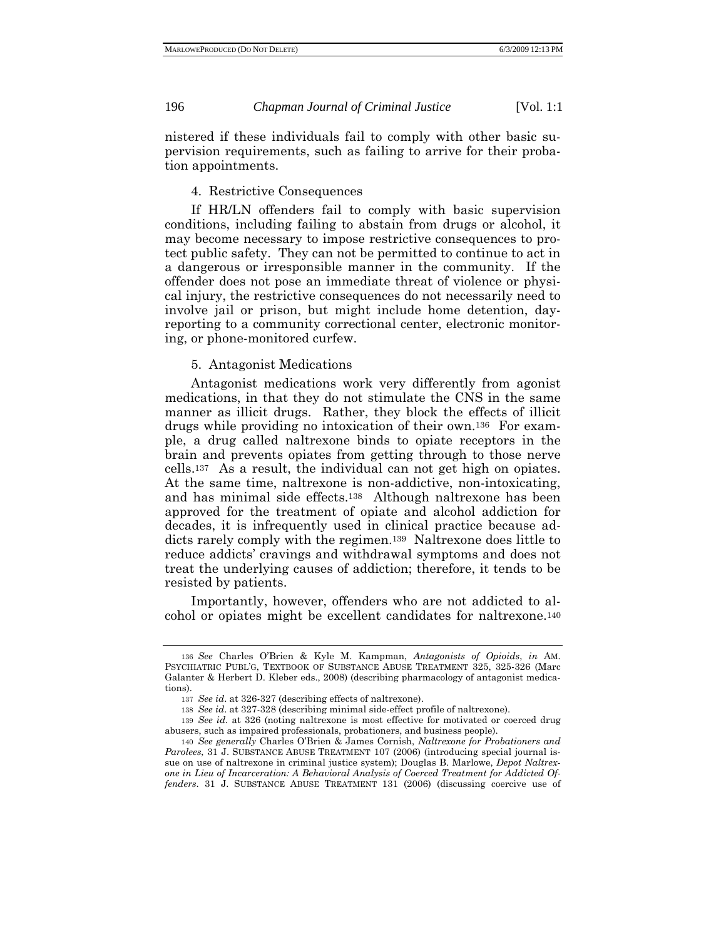nistered if these individuals fail to comply with other basic supervision requirements, such as failing to arrive for their probation appointments.

## 4. Restrictive Consequences

If HR/LN offenders fail to comply with basic supervision conditions, including failing to abstain from drugs or alcohol, it may become necessary to impose restrictive consequences to protect public safety. They can not be permitted to continue to act in a dangerous or irresponsible manner in the community. If the offender does not pose an immediate threat of violence or physical injury, the restrictive consequences do not necessarily need to involve jail or prison, but might include home detention, dayreporting to a community correctional center, electronic monitoring, or phone-monitored curfew.

# 5. Antagonist Medications

Antagonist medications work very differently from agonist medications, in that they do not stimulate the CNS in the same manner as illicit drugs. Rather, they block the effects of illicit drugs while providing no intoxication of their own.136 For example, a drug called naltrexone binds to opiate receptors in the brain and prevents opiates from getting through to those nerve cells.137 As a result, the individual can not get high on opiates. At the same time, naltrexone is non-addictive, non-intoxicating, and has minimal side effects.138 Although naltrexone has been approved for the treatment of opiate and alcohol addiction for decades, it is infrequently used in clinical practice because addicts rarely comply with the regimen.139 Naltrexone does little to reduce addicts' cravings and withdrawal symptoms and does not treat the underlying causes of addiction; therefore, it tends to be resisted by patients.

Importantly, however, offenders who are not addicted to alcohol or opiates might be excellent candidates for naltrexone.140

<sup>136</sup> *See* Charles O'Brien & Kyle M. Kampman, *Antagonists of Opioids*, *in* AM. PSYCHIATRIC PUBL'G, TEXTBOOK OF SUBSTANCE ABUSE TREATMENT 325, 325-326 (Marc Galanter & Herbert D. Kleber eds., 2008) (describing pharmacology of antagonist medications).

<sup>137</sup> *See id*. at 326-327 (describing effects of naltrexone).

<sup>138</sup> *See id*. at 327-328 (describing minimal side-effect profile of naltrexone).

<sup>139</sup> *See id*. at 326 (noting naltrexone is most effective for motivated or coerced drug abusers, such as impaired professionals, probationers, and business people).

<sup>140</sup> *See generally* Charles O'Brien & James Cornish, *Naltrexone for Probationers and Parolees*, 31 J. SUBSTANCE ABUSE TREATMENT 107 (2006) (introducing special journal issue on use of naltrexone in criminal justice system); Douglas B. Marlowe, *Depot Naltrexone in Lieu of Incarceration: A Behavioral Analysis of Coerced Treatment for Addicted Offenders*. 31 J. SUBSTANCE ABUSE TREATMENT 131 (2006) (discussing coercive use of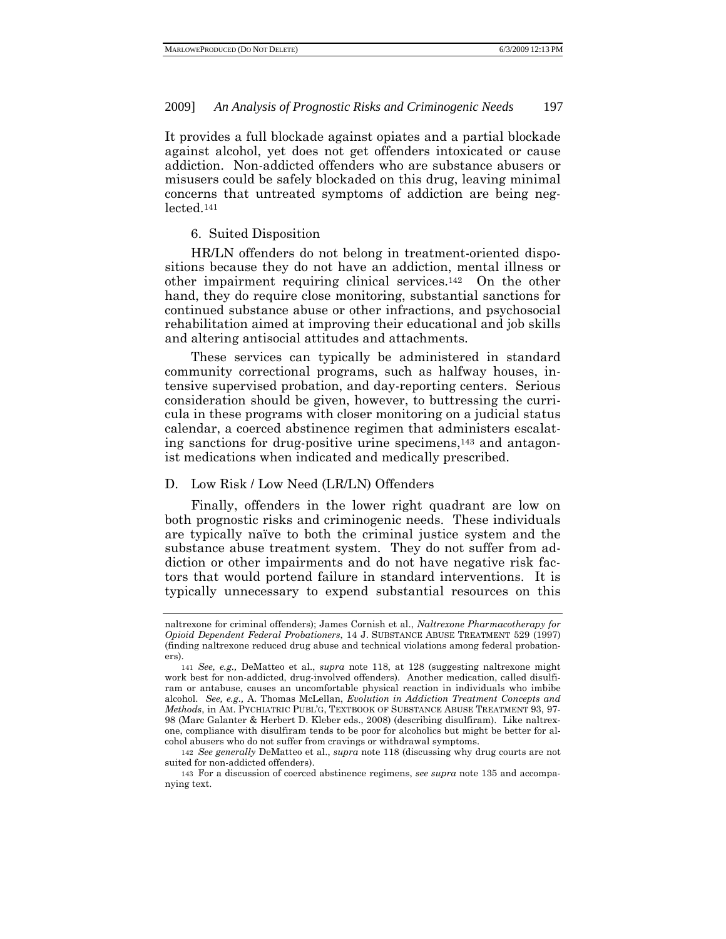It provides a full blockade against opiates and a partial blockade against alcohol, yet does not get offenders intoxicated or cause addiction. Non-addicted offenders who are substance abusers or misusers could be safely blockaded on this drug, leaving minimal concerns that untreated symptoms of addiction are being neglected.141

#### 6. Suited Disposition

HR/LN offenders do not belong in treatment-oriented dispositions because they do not have an addiction, mental illness or other impairment requiring clinical services.142 On the other hand, they do require close monitoring, substantial sanctions for continued substance abuse or other infractions, and psychosocial rehabilitation aimed at improving their educational and job skills and altering antisocial attitudes and attachments.

These services can typically be administered in standard community correctional programs, such as halfway houses, intensive supervised probation, and day-reporting centers. Serious consideration should be given, however, to buttressing the curricula in these programs with closer monitoring on a judicial status calendar, a coerced abstinence regimen that administers escalating sanctions for drug-positive urine specimens,143 and antagonist medications when indicated and medically prescribed.

#### D. Low Risk / Low Need (LR/LN) Offenders

Finally, offenders in the lower right quadrant are low on both prognostic risks and criminogenic needs. These individuals are typically naïve to both the criminal justice system and the substance abuse treatment system. They do not suffer from addiction or other impairments and do not have negative risk factors that would portend failure in standard interventions. It is typically unnecessary to expend substantial resources on this

naltrexone for criminal offenders); James Cornish et al., *Naltrexone Pharmacotherapy for Opioid Dependent Federal Probationers*, 14 J. SUBSTANCE ABUSE TREATMENT 529 (1997) (finding naltrexone reduced drug abuse and technical violations among federal probationers).

<sup>141</sup> *See, e.g.,* DeMatteo et al., *supra* note 118, at 128 (suggesting naltrexone might work best for non-addicted, drug-involved offenders). Another medication, called disulfiram or antabuse, causes an uncomfortable physical reaction in individuals who imbibe alcohol. *See, e.g.,* A. Thomas McLellan, *Evolution in Addiction Treatment Concepts and Methods*, in AM. PYCHIATRIC PUBL'G, TEXTBOOK OF SUBSTANCE ABUSE TREATMENT 93, 97- 98 (Marc Galanter & Herbert D. Kleber eds., 2008) (describing disulfiram). Like naltrexone, compliance with disulfiram tends to be poor for alcoholics but might be better for alcohol abusers who do not suffer from cravings or withdrawal symptoms.

<sup>142</sup> *See generally* DeMatteo et al., *supra* note 118 (discussing why drug courts are not suited for non-addicted offenders).

<sup>143</sup> For a discussion of coerced abstinence regimens, *see supra* note 135 and accompanying text.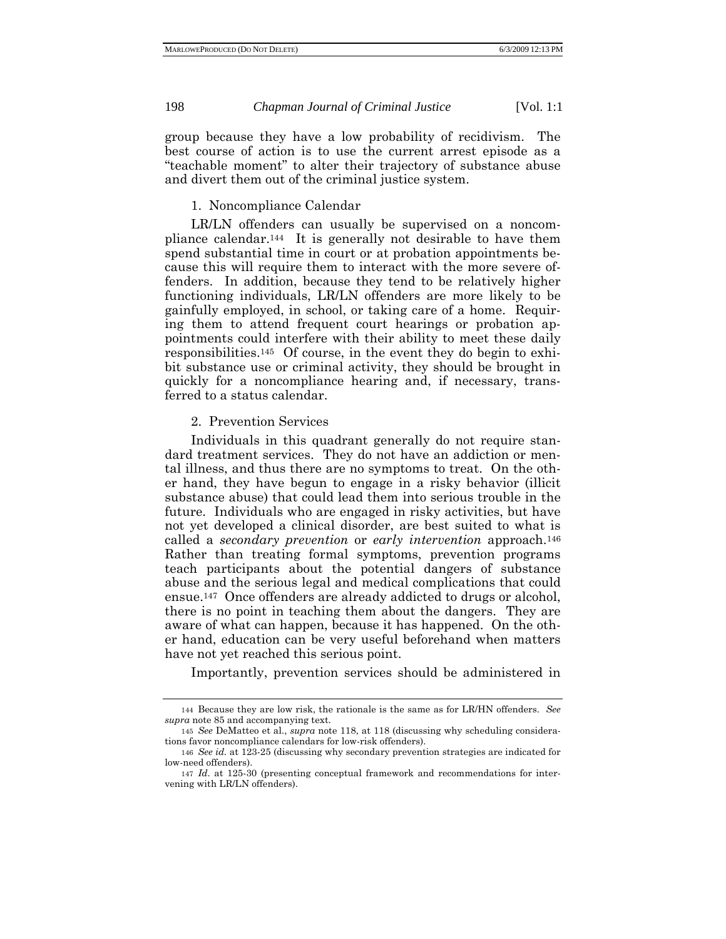group because they have a low probability of recidivism. The best course of action is to use the current arrest episode as a "teachable moment" to alter their trajectory of substance abuse and divert them out of the criminal justice system.

# 1. Noncompliance Calendar

LR/LN offenders can usually be supervised on a noncompliance calendar.144 It is generally not desirable to have them spend substantial time in court or at probation appointments because this will require them to interact with the more severe offenders. In addition, because they tend to be relatively higher functioning individuals, LR/LN offenders are more likely to be gainfully employed, in school, or taking care of a home. Requiring them to attend frequent court hearings or probation appointments could interfere with their ability to meet these daily responsibilities.145 Of course, in the event they do begin to exhibit substance use or criminal activity, they should be brought in quickly for a noncompliance hearing and, if necessary, transferred to a status calendar.

## 2. Prevention Services

Individuals in this quadrant generally do not require standard treatment services. They do not have an addiction or mental illness, and thus there are no symptoms to treat. On the other hand, they have begun to engage in a risky behavior (illicit substance abuse) that could lead them into serious trouble in the future. Individuals who are engaged in risky activities, but have not yet developed a clinical disorder, are best suited to what is called a *secondary prevention* or *early intervention* approach.146 Rather than treating formal symptoms, prevention programs teach participants about the potential dangers of substance abuse and the serious legal and medical complications that could ensue.147 Once offenders are already addicted to drugs or alcohol, there is no point in teaching them about the dangers. They are aware of what can happen, because it has happened. On the other hand, education can be very useful beforehand when matters have not yet reached this serious point.

Importantly, prevention services should be administered in

<sup>144</sup> Because they are low risk, the rationale is the same as for LR/HN offenders. *See supra* note 85 and accompanying text.

<sup>145</sup> *See* DeMatteo et al., *supra* note 118, at 118 (discussing why scheduling considerations favor noncompliance calendars for low-risk offenders).

<sup>146</sup> *See id.* at 123-25 (discussing why secondary prevention strategies are indicated for low-need offenders).

<sup>147</sup> *Id*. at 125-30 (presenting conceptual framework and recommendations for intervening with LR/LN offenders).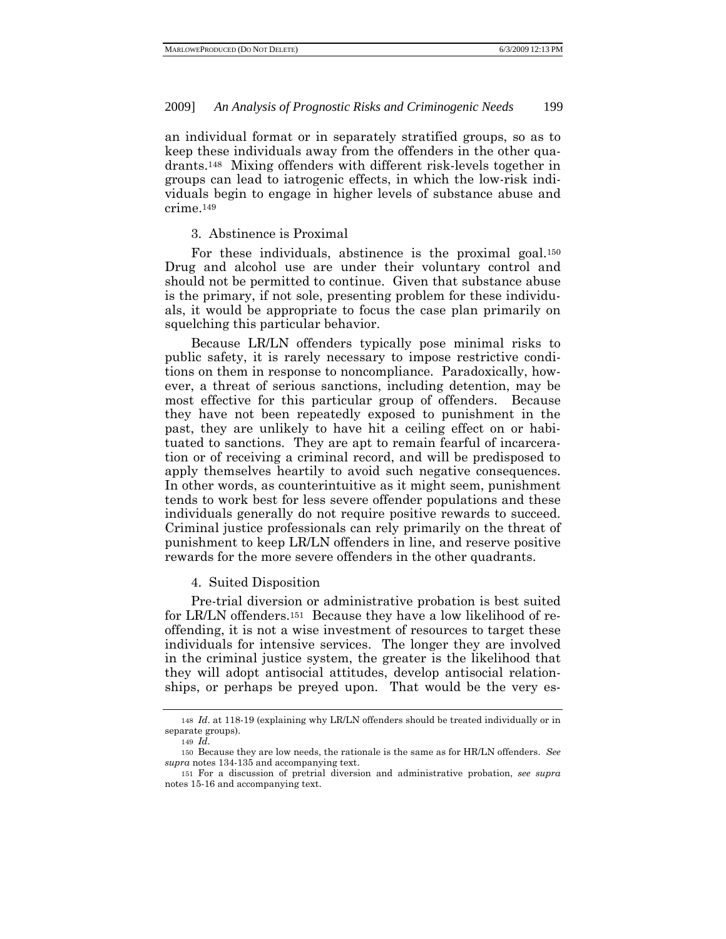an individual format or in separately stratified groups, so as to keep these individuals away from the offenders in the other quadrants.148 Mixing offenders with different risk-levels together in groups can lead to iatrogenic effects, in which the low-risk individuals begin to engage in higher levels of substance abuse and crime.149

#### 3. Abstinence is Proximal

For these individuals, abstinence is the proximal goal.150 Drug and alcohol use are under their voluntary control and should not be permitted to continue. Given that substance abuse is the primary, if not sole, presenting problem for these individuals, it would be appropriate to focus the case plan primarily on squelching this particular behavior.

Because LR/LN offenders typically pose minimal risks to public safety, it is rarely necessary to impose restrictive conditions on them in response to noncompliance. Paradoxically, however, a threat of serious sanctions, including detention, may be most effective for this particular group of offenders. Because they have not been repeatedly exposed to punishment in the past, they are unlikely to have hit a ceiling effect on or habituated to sanctions. They are apt to remain fearful of incarceration or of receiving a criminal record, and will be predisposed to apply themselves heartily to avoid such negative consequences. In other words, as counterintuitive as it might seem, punishment tends to work best for less severe offender populations and these individuals generally do not require positive rewards to succeed. Criminal justice professionals can rely primarily on the threat of punishment to keep LR/LN offenders in line, and reserve positive rewards for the more severe offenders in the other quadrants.

#### 4. Suited Disposition

Pre-trial diversion or administrative probation is best suited for LR/LN offenders.151 Because they have a low likelihood of reoffending, it is not a wise investment of resources to target these individuals for intensive services. The longer they are involved in the criminal justice system, the greater is the likelihood that they will adopt antisocial attitudes, develop antisocial relationships, or perhaps be preyed upon. That would be the very es-

<sup>148</sup> *Id*. at 118-19 (explaining why LR/LN offenders should be treated individually or in separate groups).

<sup>149</sup> *Id*.

<sup>150</sup> Because they are low needs, the rationale is the same as for HR/LN offenders. *See supra* notes 134-135 and accompanying text.

<sup>151</sup> For a discussion of pretrial diversion and administrative probation, *see supra* notes 15-16 and accompanying text.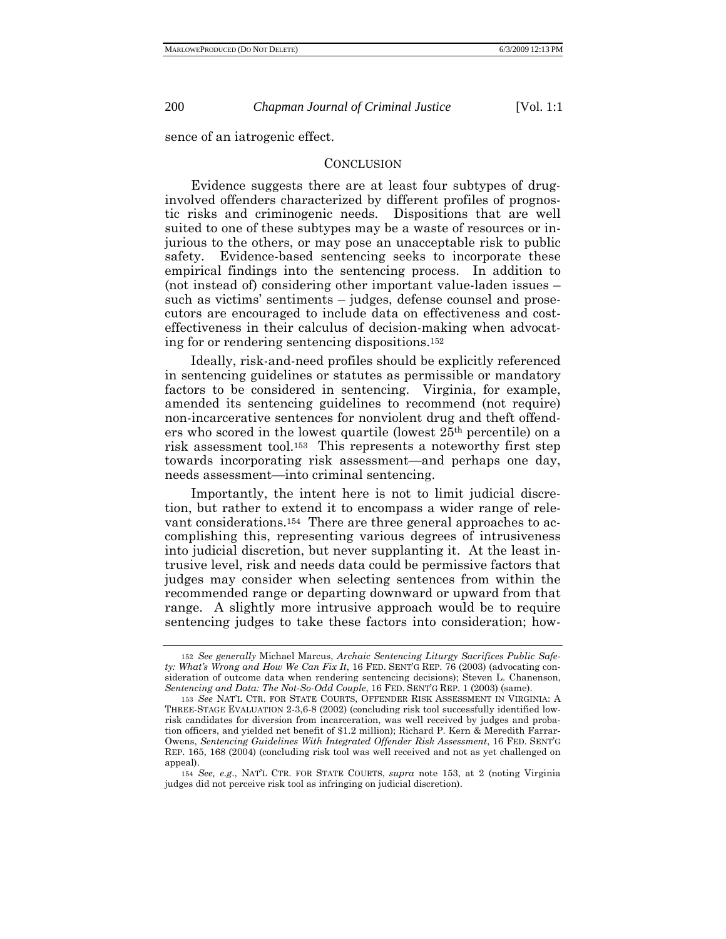sence of an iatrogenic effect.

#### **CONCLUSION**

Evidence suggests there are at least four subtypes of druginvolved offenders characterized by different profiles of prognostic risks and criminogenic needs. Dispositions that are well suited to one of these subtypes may be a waste of resources or injurious to the others, or may pose an unacceptable risk to public safety. Evidence-based sentencing seeks to incorporate these empirical findings into the sentencing process. In addition to (not instead of) considering other important value-laden issues – such as victims' sentiments – judges, defense counsel and prosecutors are encouraged to include data on effectiveness and costeffectiveness in their calculus of decision-making when advocating for or rendering sentencing dispositions.152

Ideally, risk-and-need profiles should be explicitly referenced in sentencing guidelines or statutes as permissible or mandatory factors to be considered in sentencing. Virginia, for example, amended its sentencing guidelines to recommend (not require) non-incarcerative sentences for nonviolent drug and theft offenders who scored in the lowest quartile (lowest 25th percentile) on a risk assessment tool.153 This represents a noteworthy first step towards incorporating risk assessment—and perhaps one day, needs assessment—into criminal sentencing.

Importantly, the intent here is not to limit judicial discretion, but rather to extend it to encompass a wider range of relevant considerations.154 There are three general approaches to accomplishing this, representing various degrees of intrusiveness into judicial discretion, but never supplanting it. At the least intrusive level, risk and needs data could be permissive factors that judges may consider when selecting sentences from within the recommended range or departing downward or upward from that range. A slightly more intrusive approach would be to require sentencing judges to take these factors into consideration; how-

<sup>152</sup> *See generally* Michael Marcus, *Archaic Sentencing Liturgy Sacrifices Public Safety: What's Wrong and How We Can Fix It*, 16 FED. SENT'G REP. 76 (2003) (advocating consideration of outcome data when rendering sentencing decisions); Steven L. Chanenson, *Sentencing and Data: The Not-So-Odd Couple*, 16 FED. SENT'G REP. 1 (2003) (same).

<sup>153</sup> *See* NAT'L CTR. FOR STATE COURTS, OFFENDER RISK ASSESSMENT IN VIRGINIA: A THREE-STAGE EVALUATION 2-3,6-8 (2002) (concluding risk tool successfully identified lowrisk candidates for diversion from incarceration, was well received by judges and probation officers, and yielded net benefit of \$1.2 million); Richard P. Kern & Meredith Farrar-Owens, *Sentencing Guidelines With Integrated Offender Risk Assessment*, 16 FED. SENT'G REP. 165, 168 (2004) (concluding risk tool was well received and not as yet challenged on appeal).

<sup>154</sup> *See, e.g*., NAT'L CTR. FOR STATE COURTS, *supra* note 153, at 2 (noting Virginia judges did not perceive risk tool as infringing on judicial discretion).